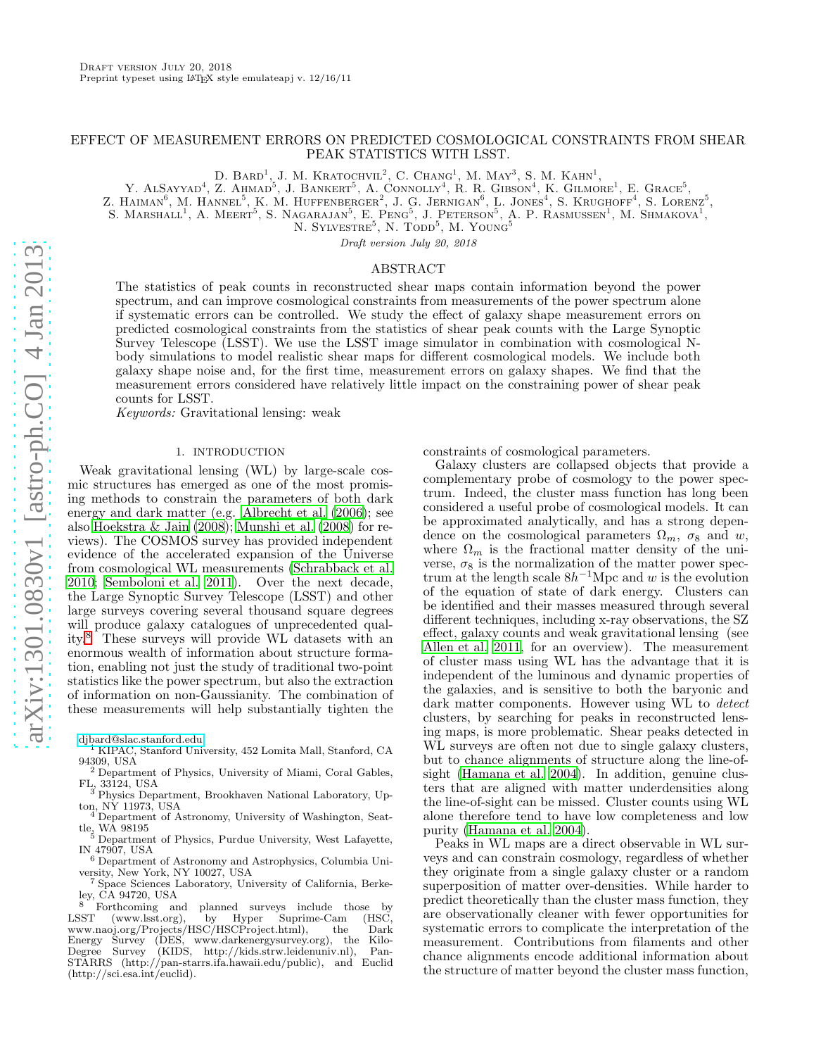# EFFECT OF MEASUREMENT ERRORS ON PREDICTED COSMOLOGICAL CONSTRAINTS FROM SHEAR PEAK STATISTICS WITH LSST.

D. BARD<sup>1</sup>, J. M. KRATOCHVIL<sup>2</sup>, C. CHANG<sup>1</sup>, M. MAY<sup>3</sup>, S. M. KAHN<sup>1</sup>,

Y. ALSAYYAD<sup>4</sup>, Z. AHMAD<sup>5</sup>, J. BANKERT<sup>5</sup>, A. CONNOLLY<sup>4</sup>, R. R. GIBSON<sup>4</sup>, K. GILMORE<sup>1</sup>, E. GRACE<sup>5</sup>,

Z. HAIMAN<sup>6</sup>, M. HANNEL<sup>5</sup>, K. M. HUFFENBERGER<sup>2</sup>, J. G. JERNIGAN<sup>6</sup>, L. JONES<sup>4</sup>, S. KRUGHOFF<sup>4</sup>, S. LORENZ<sup>5</sup>,

S. MARSHALL<sup>1</sup>, A. MEERT<sup>5</sup>, S. NAGARAJAN<sup>5</sup>, E. PENG<sup>5</sup>, J. PETERSON<sup>5</sup>, A. P. RASMUSSEN<sup>1</sup>, M. SHMAKOVA<sup>1</sup>,

N. SYLVESTRE<sup>5</sup>, N. TODD<sup>5</sup>, M. YOUNG<sup>5</sup>

Draft version July 20, 2018

## ABSTRACT

The statistics of peak counts in reconstructed shear maps contain information beyond the power spectrum, and can improve cosmological constraints from measurements of the power spectrum alone if systematic errors can be controlled. We study the effect of galaxy shape measurement errors on predicted cosmological constraints from the statistics of shear peak counts with the Large Synoptic Survey Telescope (LSST). We use the LSST image simulator in combination with cosmological Nbody simulations to model realistic shear maps for different cosmological models. We include both galaxy shape noise and, for the first time, measurement errors on galaxy shapes. We find that the measurement errors considered have relatively little impact on the constraining power of shear peak counts for LSST.

Keywords: Gravitational lensing: weak

### 1. INTRODUCTION

Weak gravitational lensing (WL) by large-scale cosmic structures has emerged as one of the most promising methods to constrain the parameters of both dark energy and dark matter (e.g. [Albrecht et al. \(2006](#page-12-0)); see also [Hoekstra & Jain \(2008\)](#page-12-1); [Munshi et al. \(2008](#page-12-2)) for reviews). The COSMOS survey has provided independent evidence of the accelerated expansion of the Universe from cosmological WL measurements [\(Schrabback et al.](#page-12-3) [2010;](#page-12-3) [Semboloni et al. 2011\)](#page-12-4). Over the next decade, the Large Synoptic Survey Telescope (LSST) and other large surveys covering several thousand square degrees will produce galaxy catalogues of unprecedented quality.[8](#page-0-0) These surveys will provide WL datasets with an enormous wealth of information about structure formation, enabling not just the study of traditional two-point statistics like the power spectrum, but also the extraction of information on non-Gaussianity. The combination of these measurements will help substantially tighten the

- <sup>1</sup> KIPAC, Stanford University, 452 Lomita Mall, Stanford, CA 94309, USA
- <sup>2</sup> Department of Physics, University of Miami, Coral Gables, FL, 33124, USA <sup>3</sup> Physics Department, Brookhaven National Laboratory, Up-
- ton, NY 11973, USA
- Department of Astronomy, University of Washington, Seattle, WA  $98195$
- <sup>5</sup> Department of Physics, Purdue University, West Lafayette, IN 47907, USA <sup>6</sup> Department of Astronomy and Astrophysics, Columbia Uni-
- versity, New York, NY 10027, USA
- <sup>7</sup> Space Sciences Laboratory, University of California, Berkeley, CA 94720, USA

constraints of cosmological parameters.

Galaxy clusters are collapsed objects that provide a complementary probe of cosmology to the power spectrum. Indeed, the cluster mass function has long been considered a useful probe of cosmological models. It can be approximated analytically, and has a strong dependence on the cosmological parameters  $\Omega_m$ ,  $\sigma_8$  and w, where  $\Omega_m$  is the fractional matter density of the universe,  $\sigma_8$  is the normalization of the matter power spectrum at the length scale  $8h^{-1}$ Mpc and w is the evolution of the equation of state of dark energy. Clusters can be identified and their masses measured through several different techniques, including x-ray observations, the SZ effect, galaxy counts and weak gravitational lensing (see [Allen et al. 2011,](#page-12-5) for an overview). The measurement of cluster mass using WL has the advantage that it is independent of the luminous and dynamic properties of the galaxies, and is sensitive to both the baryonic and dark matter components. However using WL to *detect* clusters, by searching for peaks in reconstructed lensing maps, is more problematic. Shear peaks detected in WL surveys are often not due to single galaxy clusters, but to chance alignments of structure along the line-ofsight [\(Hamana et al. 2004\)](#page-12-6). In addition, genuine clusters that are aligned with matter underdensities along the line-of-sight can be missed. Cluster counts using WL alone therefore tend to have low completeness and low purity [\(Hamana et al. 2004\)](#page-12-6).

Peaks in WL maps are a direct observable in WL surveys and can constrain cosmology, regardless of whether they originate from a single galaxy cluster or a random superposition of matter over-densities. While harder to predict theoretically than the cluster mass function, they are observationally cleaner with fewer opportunities for systematic errors to complicate the interpretation of the measurement. Contributions from filaments and other chance alignments encode additional information about the structure of matter beyond the cluster mass function,

[djbard@slac.stanford.edu](mailto:djbard@slac.stanford.edu)

<span id="page-0-0"></span><sup>&</sup>lt;sup>8</sup> Forthcoming and planned surveys include those by LSST (www.lsst.org), by Hyper Suprime-Cam (HSC, (www.lsst.org), by Hyper Suprime-Cam (HSC,<br>aoj.org/Projects/HSC/HSCProject.html), the Dark www.naoj.org/Projects/HSC/HSCProject.html), Energy Survey (DES, www.darkenergysurvey.org), the Kilo-Degree Survey (KIDS, http://kids.strw.leidenuniv.nl), Pan-STARRS (http://pan-starrs.ifa.hawaii.edu/public), and Euclid (http://sci.esa.int/euclid).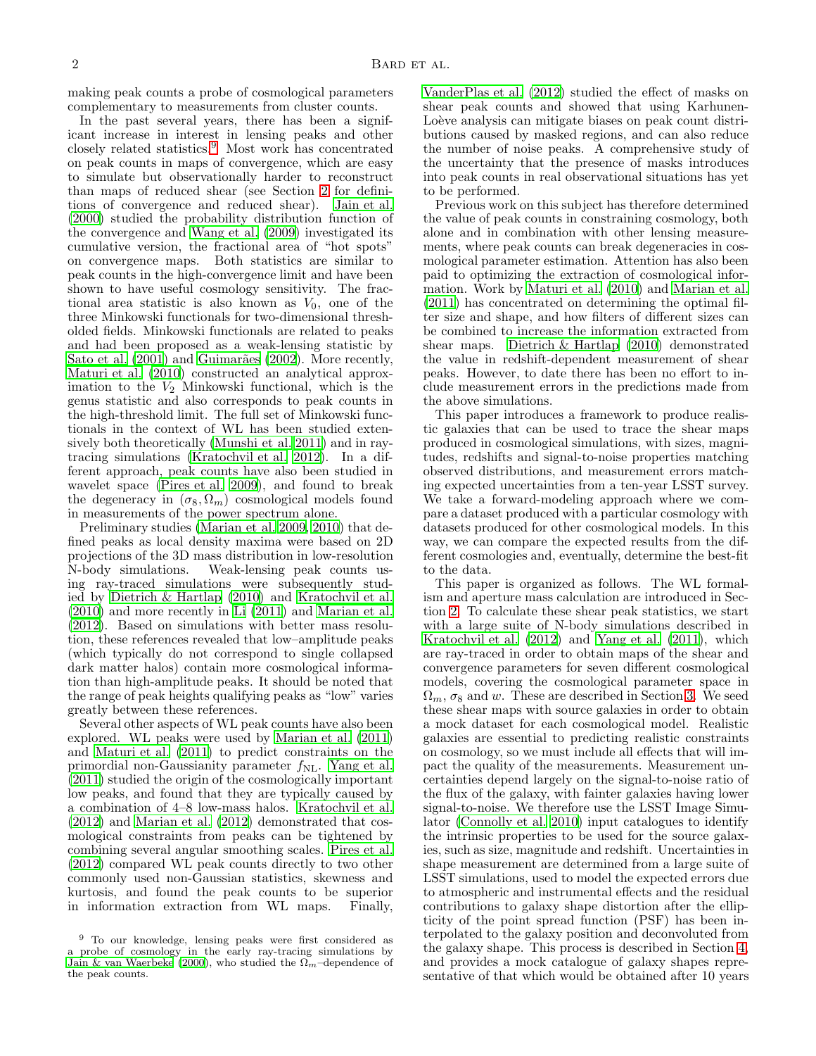making peak counts a probe of cosmological parameters complementary to measurements from cluster counts.

In the past several years, there has been a significant increase in interest in lensing peaks and other closely related statistics.[9](#page-1-0) Most work has concentrated on peak counts in maps of convergence, which are easy to simulate but observationally harder to reconstruct than maps of reduced shear (see Section [2](#page-2-0) for definitions of convergence and reduced shear). [Jain et al.](#page-12-7) [\(2000\)](#page-12-7) studied the probability distribution function of the convergence and [Wang et al. \(2009\)](#page-13-0) investigated its cumulative version, the fractional area of "hot spots" on convergence maps. Both statistics are similar to peak counts in the high-convergence limit and have been shown to have useful cosmology sensitivity. The fractional area statistic is also known as  $V_0$ , one of the three Minkowski functionals for two-dimensional thresholded fields. Minkowski functionals are related to peaks and had been proposed as a weak-lensing statistic by Sato et al.  $(2001)$  and Guimarães  $(2002)$ . More recently, [Maturi et al. \(2010](#page-12-10)) constructed an analytical approximation to the  $V_2$  Minkowski functional, which is the genus statistic and also corresponds to peak counts in the high-threshold limit. The full set of Minkowski functionals in the context of WL has been studied extensively both theoretically [\(Munshi et al. 2011\)](#page-12-11) and in raytracing simulations [\(Kratochvil et al. 2012\)](#page-12-12). In a different approach, peak counts have also been studied in wavelet space [\(Pires et al. 2009](#page-12-13)), and found to break the degeneracy in  $(\sigma_8, \Omega_m)$  cosmological models found in measurements of the power spectrum alone.

Preliminary studies [\(Marian et al. 2009,](#page-12-14) [2010\)](#page-12-15) that defined peaks as local density maxima were based on 2D projections of the 3D mass distribution in low-resolution<br>N-body simulations. Weak-lensing peak counts us-Weak-lensing peak counts using ray-traced simulations were subsequently studied by [Dietrich & Hartlap \(2010\)](#page-12-16) and [Kratochvil et al.](#page-12-17) [\(2010\)](#page-12-17) and more recently in [Li \(2011\)](#page-12-18) and [Marian et al.](#page-12-19) [\(2012\)](#page-12-19). Based on simulations with better mass resolution, these references revealed that low–amplitude peaks (which typically do not correspond to single collapsed dark matter halos) contain more cosmological information than high-amplitude peaks. It should be noted that the range of peak heights qualifying peaks as "low" varies greatly between these references.

Several other aspects of WL peak counts have also been explored. WL peaks were used by [Marian et al. \(2011](#page-12-20)) and [Maturi et al. \(2011\)](#page-12-21) to predict constraints on the primordial non-Gaussianity parameter  $f_{\rm NL}$ . [Yang et al.](#page-13-1) [\(2011\)](#page-13-1) studied the origin of the cosmologically important low peaks, and found that they are typically caused by a combination of 4–8 low-mass halos. [Kratochvil et al.](#page-12-12) [\(2012\)](#page-12-12) and [Marian et al. \(2012\)](#page-12-19) demonstrated that cosmological constraints from peaks can be tightened by combining several angular smoothing scales. [Pires et al.](#page-12-22) [\(2012\)](#page-12-22) compared WL peak counts directly to two other commonly used non-Gaussian statistics, skewness and kurtosis, and found the peak counts to be superior in information extraction from WL maps. Finally,

[VanderPlas et al. \(2012\)](#page-13-2) studied the effect of masks on shear peak counts and showed that using Karhunen-Loève analysis can mitigate biases on peak count distributions caused by masked regions, and can also reduce the number of noise peaks. A comprehensive study of the uncertainty that the presence of masks introduces into peak counts in real observational situations has yet to be performed.

Previous work on this subject has therefore determined the value of peak counts in constraining cosmology, both alone and in combination with other lensing measurements, where peak counts can break degeneracies in cosmological parameter estimation. Attention has also been paid to optimizing the extraction of cosmological information. Work by [Maturi et al. \(2010\)](#page-12-10) and [Marian et al.](#page-12-20) [\(2011\)](#page-12-20) has concentrated on determining the optimal filter size and shape, and how filters of different sizes can be combined to increase the information extracted from shear maps. [Dietrich & Hartlap \(2010\)](#page-12-16) demonstrated the value in redshift-dependent measurement of shear peaks. However, to date there has been no effort to include measurement errors in the predictions made from the above simulations.

This paper introduces a framework to produce realistic galaxies that can be used to trace the shear maps produced in cosmological simulations, with sizes, magnitudes, redshifts and signal-to-noise properties matching observed distributions, and measurement errors matching expected uncertainties from a ten-year LSST survey. We take a forward-modeling approach where we compare a dataset produced with a particular cosmology with datasets produced for other cosmological models. In this way, we can compare the expected results from the different cosmologies and, eventually, determine the best-fit to the data.

This paper is organized as follows. The WL formalism and aperture mass calculation are introduced in Section [2.](#page-2-0) To calculate these shear peak statistics, we start with a large suite of N-body simulations described in [Kratochvil et al. \(2012\)](#page-12-12) and [Yang et al. \(2011\)](#page-13-1), which are ray-traced in order to obtain maps of the shear and convergence parameters for seven different cosmological models, covering the cosmological parameter space in  $\Omega_m$ ,  $\sigma_8$  and w. These are described in Section [3.](#page-3-0) We seed these shear maps with source galaxies in order to obtain a mock dataset for each cosmological model. Realistic galaxies are essential to predicting realistic constraints on cosmology, so we must include all effects that will impact the quality of the measurements. Measurement uncertainties depend largely on the signal-to-noise ratio of the flux of the galaxy, with fainter galaxies having lower signal-to-noise. We therefore use the LSST Image Simulator [\(Connolly et al. 2010\)](#page-12-24) input catalogues to identify the intrinsic properties to be used for the source galaxies, such as size, magnitude and redshift. Uncertainties in shape measurement are determined from a large suite of LSST simulations, used to model the expected errors due to atmospheric and instrumental effects and the residual contributions to galaxy shape distortion after the ellipticity of the point spread function (PSF) has been interpolated to the galaxy position and deconvoluted from the galaxy shape. This process is described in Section [4,](#page-4-0) and provides a mock catalogue of galaxy shapes representative of that which would be obtained after 10 years

<span id="page-1-0"></span><sup>9</sup> To our knowledge, lensing peaks were first considered as a probe of cosmology in the early ray-tracing simulations by [Jain & van Waerbeke \(2000](#page-12-23)), who studied the  $\Omega_m$ –dependence of the peak counts.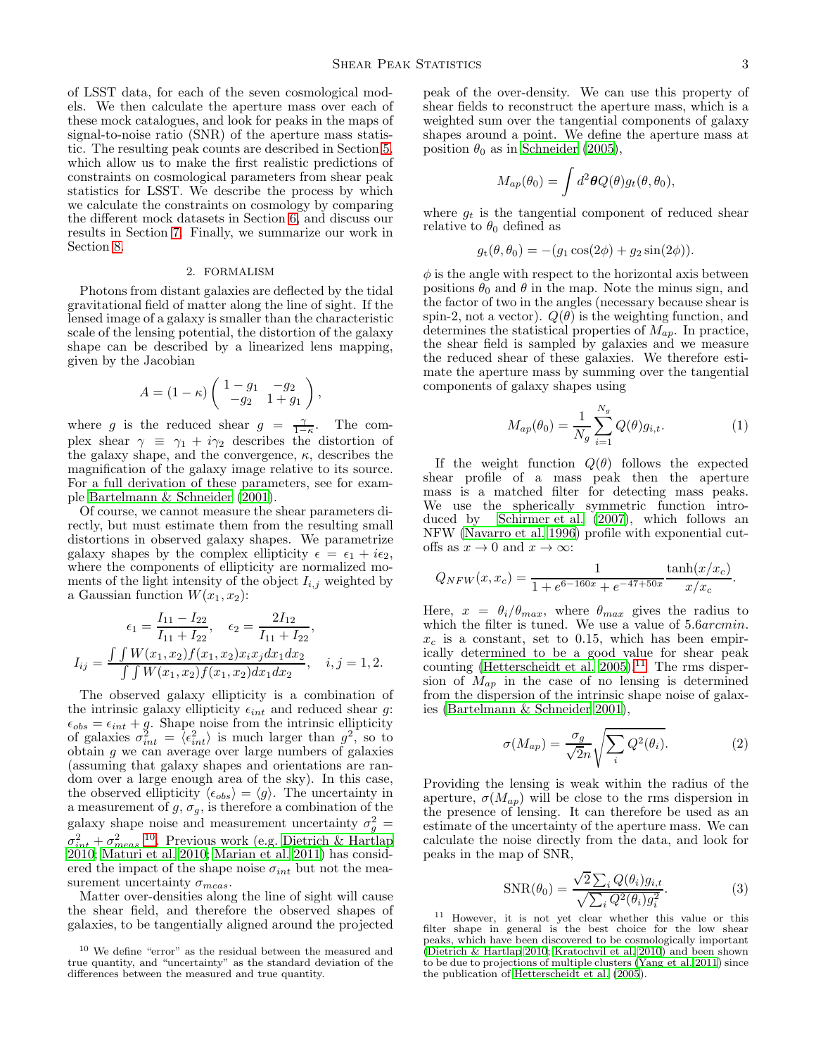of LSST data, for each of the seven cosmological models. We then calculate the aperture mass over each of these mock catalogues, and look for peaks in the maps of signal-to-noise ratio (SNR) of the aperture mass statistic. The resulting peak counts are described in Section [5,](#page-6-0) which allow us to make the first realistic predictions of constraints on cosmological parameters from shear peak statistics for LSST. We describe the process by which we calculate the constraints on cosmology by comparing the different mock datasets in Section [6,](#page-8-0) and discuss our results in Section [7.](#page-9-0) Finally, we summarize our work in Section [8.](#page-11-0)

# 2. FORMALISM

<span id="page-2-0"></span>Photons from distant galaxies are deflected by the tidal gravitational field of matter along the line of sight. If the lensed image of a galaxy is smaller than the characteristic scale of the lensing potential, the distortion of the galaxy shape can be described by a linearized lens mapping, given by the Jacobian

$$
A = (1 - \kappa) \begin{pmatrix} 1 - g_1 & -g_2 \\ -g_2 & 1 + g_1 \end{pmatrix},
$$

where g is the reduced shear  $g = \frac{\gamma}{1-\kappa}$ . The complex shear  $\gamma \equiv \gamma_1 + i\gamma_2$  describes the distortion of the galaxy shape, and the convergence,  $\kappa$ , describes the magnification of the galaxy image relative to its source. For a full derivation of these parameters, see for example [Bartelmann & Schneider \(2001\)](#page-12-25).

Of course, we cannot measure the shear parameters directly, but must estimate them from the resulting small distortions in observed galaxy shapes. We parametrize galaxy shapes by the complex ellipticity  $\epsilon = \epsilon_1 + i\epsilon_2$ , where the components of ellipticity are normalized moments of the light intensity of the object  $I_{i,j}$  weighted by a Gaussian function  $W(x_1, x_2)$ :

$$
\epsilon_1 = \frac{I_{11} - I_{22}}{I_{11} + I_{22}}, \quad \epsilon_2 = \frac{2I_{12}}{I_{11} + I_{22}},
$$

$$
I_{ij} = \frac{\int \int W(x_1, x_2) f(x_1, x_2) x_i x_j dx_1 dx_2}{\int \int W(x_1, x_2) f(x_1, x_2) dx_1 dx_2}, \quad i, j = 1, 2.
$$

The observed galaxy ellipticity is a combination of the intrinsic galaxy ellipticity  $\epsilon_{int}$  and reduced shear g:  $\epsilon_{obs} = \epsilon_{int} + g$ . Shape noise from the intrinsic ellipticity of galaxies  $\sigma_{int}^2 = \langle \epsilon_{int}^2 \rangle$  is much larger than  $g^2$ , so to obtain g we can average over large numbers of galaxies (assuming that galaxy shapes and orientations are random over a large enough area of the sky). In this case, the observed ellipticity  $\langle \epsilon_{obs} \rangle = \langle g \rangle$ . The uncertainty in a measurement of  $g, \sigma_g$ , is therefore a combination of the galaxy shape noise and measurement uncertainty  $\sigma_g^2 =$  $\sigma_{int}^2 + \sigma_{meas}^2$ <sup>[10](#page-2-1)</sup>. Previous work (e.g. [Dietrich & Hartlap](#page-12-16) [2010;](#page-12-16) [Maturi et al. 2010;](#page-12-10) [Marian et al. 2011\)](#page-12-20) has considered the impact of the shape noise  $\sigma_{int}$  but not the measurement uncertainty  $\sigma_{meas}$ .

Matter over-densities along the line of sight will cause the shear field, and therefore the observed shapes of galaxies, to be tangentially aligned around the projected

peak of the over-density. We can use this property of shear fields to reconstruct the aperture mass, which is a weighted sum over the tangential components of galaxy shapes around a point. We define the aperture mass at position  $\theta_0$  as in [Schneider \(2005\)](#page-12-26),

$$
M_{ap}(\theta_0) = \int d^2\boldsymbol{\theta} Q(\theta) g_t(\theta, \theta_0),
$$

where  $g_t$  is the tangential component of reduced shear relative to  $\theta_0$  defined as

$$
gt(\theta, \theta0) = -(g1 cos(2\phi) + g2 sin(2\phi)).
$$

 $\phi$  is the angle with respect to the horizontal axis between positions  $\theta_0$  and  $\theta$  in the map. Note the minus sign, and the factor of two in the angles (necessary because shear is spin-2, not a vector).  $Q(\theta)$  is the weighting function, and determines the statistical properties of  $M_{ap}$ . In practice, the shear field is sampled by galaxies and we measure the reduced shear of these galaxies. We therefore estimate the aperture mass by summing over the tangential components of galaxy shapes using

<span id="page-2-3"></span>
$$
M_{ap}(\theta_0) = \frac{1}{N_g} \sum_{i=1}^{N_g} Q(\theta) g_{i,t}.
$$
 (1)

If the weight function  $Q(\theta)$  follows the expected shear profile of a mass peak then the aperture mass is a matched filter for detecting mass peaks. We use the spherically symmetric function introduced by [Schirmer et al. \(2007\)](#page-12-27), which follows an NFW [\(Navarro et al. 1996\)](#page-12-28) profile with exponential cutoffs as  $x \to 0$  and  $x \to \infty$ :

$$
Q_{NFW}(x, x_c) = \frac{1}{1 + e^{6 - 160x} + e^{-47 + 50x}} \frac{\tanh(x/x_c)}{x/x_c}.
$$

Here,  $x = \theta_i/\theta_{max}$ , where  $\theta_{max}$  gives the radius to which the filter is tuned. We use a value of  $5.6arcmin$ .  $x_c$  is a constant, set to 0.15, which has been empirically determined to be a good value for shear peak counting (Hetterscheidt et al.  $2005$ ).<sup>[11](#page-2-2)</sup> The rms dispersion of  $\hat{M}_{ap}$  in the case of no lensing is determined from the dispersion of the intrinsic shape noise of galaxies [\(Bartelmann & Schneider 2001\)](#page-12-25),

<span id="page-2-5"></span>
$$
\sigma(M_{ap}) = \frac{\sigma_g}{\sqrt{2n}} \sqrt{\sum_i Q^2(\theta_i)}.
$$
 (2)

Providing the lensing is weak within the radius of the aperture,  $\sigma(M_{ap})$  will be close to the rms dispersion in the presence of lensing. It can therefore be used as an estimate of the uncertainty of the aperture mass. We can calculate the noise directly from the data, and look for peaks in the map of SNR,

<span id="page-2-4"></span>
$$
SNR(\theta_0) = \frac{\sqrt{2} \sum_i Q(\theta_i) g_{i,t}}{\sqrt{\sum_i Q^2(\theta_i) g_i^2}}.
$$
\n(3)

<span id="page-2-2"></span><sup>11</sup> However, it is not yet clear whether this value or this filter shape in general is the best choice for the low shear peaks, which have been discovered to be cosmologically important [\(Dietrich & Hartlap 2010;](#page-12-16) [Kratochvil et al. 2010](#page-12-17)) and been shown to be due to projections of multiple clusters [\(Yang et al. 2011\)](#page-13-1) since the publication of [Hetterscheidt et al. \(2005](#page-12-29)).

<span id="page-2-1"></span><sup>10</sup> We define "error" as the residual between the measured and true quantity, and "uncertainty" as the standard deviation of the differences between the measured and true quantity.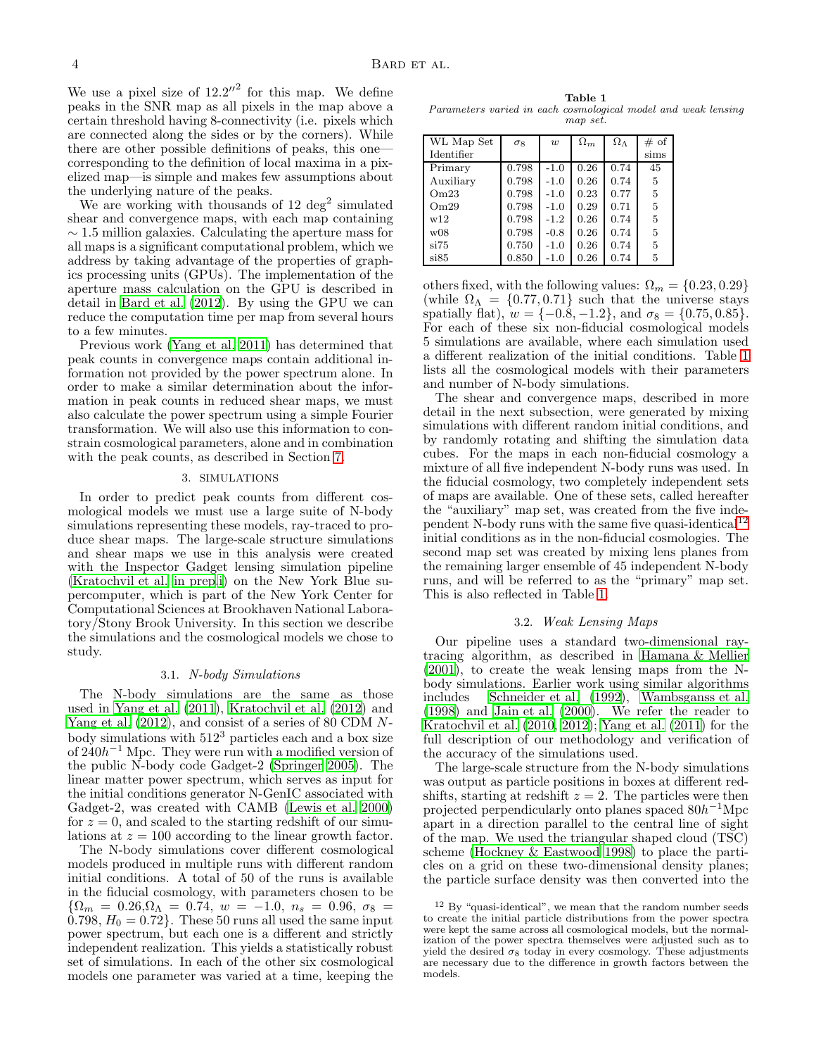We use a pixel size of  $12.2''^2$  for this map. We define peaks in the SNR map as all pixels in the map above a certain threshold having 8-connectivity (i.e. pixels which are connected along the sides or by the corners). While there are other possible definitions of peaks, this one corresponding to the definition of local maxima in a pixelized map—is simple and makes few assumptions about the underlying nature of the peaks.

We are working with thousands of  $12 \text{ deg}^2$  simulated shear and convergence maps, with each map containing  $\sim$  1.5 million galaxies. Calculating the aperture mass for all maps is a significant computational problem, which we address by taking advantage of the properties of graphics processing units (GPUs). The implementation of the aperture mass calculation on the GPU is described in detail in [Bard et al. \(2012\)](#page-12-30). By using the GPU we can reduce the computation time per map from several hours to a few minutes.

Previous work [\(Yang et al. 2011\)](#page-13-1) has determined that peak counts in convergence maps contain additional information not provided by the power spectrum alone. In order to make a similar determination about the information in peak counts in reduced shear maps, we must also calculate the power spectrum using a simple Fourier transformation. We will also use this information to constrain cosmological parameters, alone and in combination with the peak counts, as described in Section [7.](#page-9-0)

#### 3. SIMULATIONS

<span id="page-3-0"></span>In order to predict peak counts from different cosmological models we must use a large suite of N-body simulations representing these models, ray-traced to produce shear maps. The large-scale structure simulations and shear maps we use in this analysis were created with the Inspector Gadget lensing simulation pipeline [\(Kratochvil et al. in prep](#page-12-31)[,i](#page-12-32)) on the New York Blue supercomputer, which is part of the New York Center for Computational Sciences at Brookhaven National Laboratory/Stony Brook University. In this section we describe the simulations and the cosmological models we chose to study.

## 3.1. N-body Simulations

The N-body simulations are the same as those used in [Yang et al. \(2011\)](#page-13-1), [Kratochvil et al. \(2012](#page-12-12)) and [Yang et al. \(2012](#page-13-3)), and consist of a series of 80 CDM Nbody simulations with  $512<sup>3</sup>$  particles each and a box size of  $240h^{-1}$  Mpc. They were run with a modified version of the public N-body code Gadget-2 [\(Springer 2005\)](#page-12-33). The linear matter power spectrum, which serves as input for the initial conditions generator N-GenIC associated with Gadget-2, was created with CAMB [\(Lewis et al. 2000](#page-12-34)) for  $z = 0$ , and scaled to the starting redshift of our simulations at  $z = 100$  according to the linear growth factor.

The N-body simulations cover different cosmological models produced in multiple runs with different random initial conditions. A total of 50 of the runs is available in the fiducial cosmology, with parameters chosen to be  ${\Omega_m = 0.26, \Omega_{\Lambda} = 0.74, w = -1.0, n_s = 0.96, \sigma_8 =}$  $0.798, H_0 = 0.72$ . These 50 runs all used the same input power spectrum, but each one is a different and strictly independent realization. This yields a statistically robust set of simulations. In each of the other six cosmological models one parameter was varied at a time, keeping the

<span id="page-3-1"></span>Table 1 Parameters varied in each cosmological model and weak lensing map set.

| WL Map Set | $\sigma$ 8 | $\boldsymbol{w}$ | $\Omega_m$ | $\Omega_{\Lambda}$ | # of |
|------------|------------|------------------|------------|--------------------|------|
| Identifier |            |                  |            |                    | sims |
| Primary    | 0.798      | $-1.0$           | 0.26       | 0.74               | 45   |
| Auxiliary  | 0.798      | $-1.0$           | 0.26       | 0.74               | 5    |
| Om23       | 0.798      | $-1.0$           | 0.23       | 0.77               | 5    |
| Om29       | 0.798      | $-1.0$           | 0.29       | 0.71               | 5    |
| w12        | 0.798      | $-1.2$           | 0.26       | 0.74               | 5    |
| w08        | 0.798      | $-0.8$           | 0.26       | 0.74               | 5    |
| si75       | 0.750      | $-1.0$           | 0.26       | 0.74               | 5    |
| si85       | 0.850      | $-1.0$           | 0.26       | 0.74               | 5    |
|            |            |                  |            |                    |      |

others fixed, with the following values:  $\Omega_m = \{0.23, 0.29\}$ (while  $\Omega_{\Lambda} = \{0.77, 0.71\}$  such that the universe stays spatially flat),  $w = \{-0.8, -1.2\}$ , and  $\sigma_8 = \{0.75, 0.85\}$ . For each of these six non-fiducial cosmological models 5 simulations are available, where each simulation used a different realization of the initial conditions. Table [1](#page-3-1) lists all the cosmological models with their parameters and number of N-body simulations.

The shear and convergence maps, described in more detail in the next subsection, were generated by mixing simulations with different random initial conditions, and by randomly rotating and shifting the simulation data cubes. For the maps in each non-fiducial cosmology a mixture of all five independent N-body runs was used. In the fiducial cosmology, two completely independent sets of maps are available. One of these sets, called hereafter the "auxiliary" map set, was created from the five inde-pendent N-body runs with the same five quasi-identical<sup>[12](#page-3-2)</sup> initial conditions as in the non-fiducial cosmologies. The second map set was created by mixing lens planes from the remaining larger ensemble of 45 independent N-body runs, and will be referred to as the "primary" map set. This is also reflected in Table [1.](#page-3-1)

## 3.2. Weak Lensing Maps

Our pipeline uses a standard two-dimensional raytracing algorithm, as described in [Hamana & Mellier](#page-12-35) [\(2001\)](#page-12-35), to create the weak lensing maps from the Nbody simulations. Earlier work using similar algorithms includes [Schneider et al. \(1992](#page-12-36)), [Wambsganss et al.](#page-13-4) [\(1998\)](#page-13-4) and [Jain et al. \(2000\)](#page-12-37). We refer the reader to Kratochvil et al.  $(2010, 2012)$  $(2010, 2012)$ ; Yang et al.  $(2011)$  for the full description of our methodology and verification of the accuracy of the simulations used.

The large-scale structure from the N-body simulations was output as particle positions in boxes at different redshifts, starting at redshift  $z = 2$ . The particles were then projected perpendicularly onto planes spaced  $80h^{-1}$ Mpc apart in a direction parallel to the central line of sight of the map. We used the triangular shaped cloud (TSC) scheme [\(Hockney & Eastwood 1998\)](#page-12-38) to place the particles on a grid on these two-dimensional density planes; the particle surface density was then converted into the

<span id="page-3-2"></span><sup>12</sup> By "quasi-identical", we mean that the random number seeds to create the initial particle distributions from the power spectra were kept the same across all cosmological models, but the normalization of the power spectra themselves were adjusted such as to yield the desired  $\sigma_8$  today in every cosmology. These adjustments are necessary due to the difference in growth factors between the models.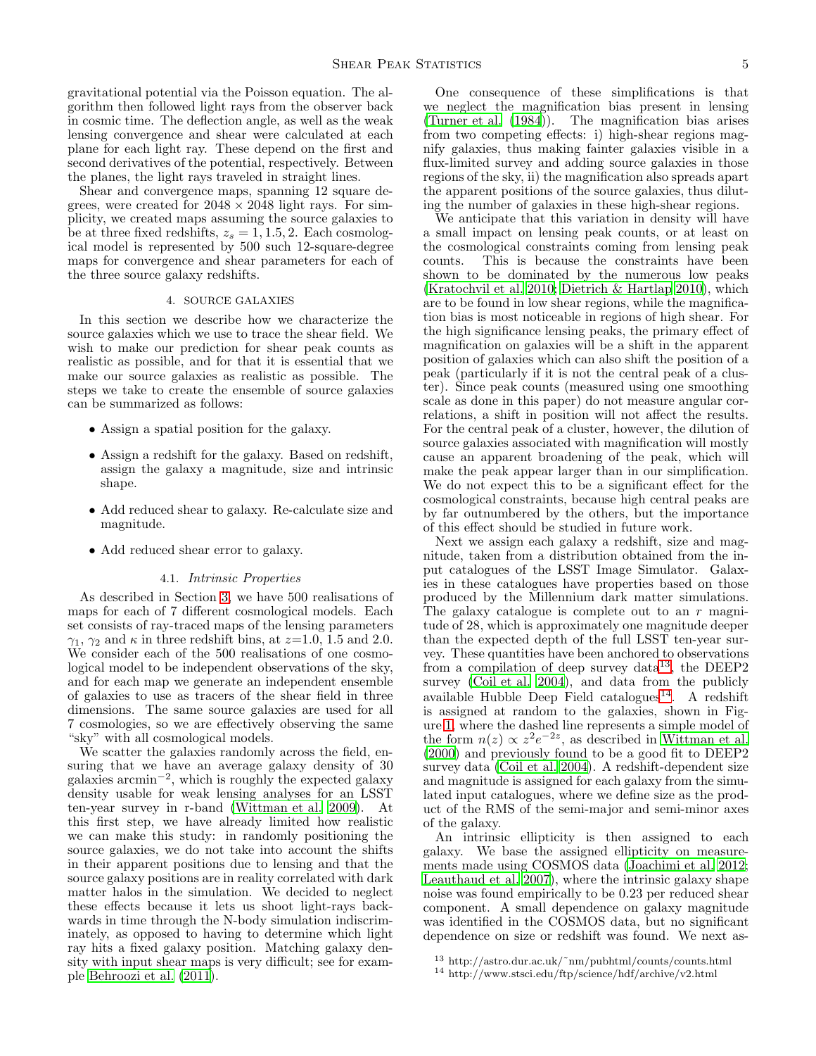gravitational potential via the Poisson equation. The algorithm then followed light rays from the observer back in cosmic time. The deflection angle, as well as the weak lensing convergence and shear were calculated at each plane for each light ray. These depend on the first and second derivatives of the potential, respectively. Between the planes, the light rays traveled in straight lines.

Shear and convergence maps, spanning 12 square degrees, were created for  $2048 \times 2048$  light rays. For simplicity, we created maps assuming the source galaxies to be at three fixed redshifts,  $z_s = 1, 1.5, 2$ . Each cosmological model is represented by 500 such 12-square-degree maps for convergence and shear parameters for each of the three source galaxy redshifts.

# 4. SOURCE GALAXIES

<span id="page-4-0"></span>In this section we describe how we characterize the source galaxies which we use to trace the shear field. We wish to make our prediction for shear peak counts as realistic as possible, and for that it is essential that we make our source galaxies as realistic as possible. The steps we take to create the ensemble of source galaxies can be summarized as follows:

- Assign a spatial position for the galaxy.
- Assign a redshift for the galaxy. Based on redshift, assign the galaxy a magnitude, size and intrinsic shape.
- Add reduced shear to galaxy. Re-calculate size and magnitude.
- Add reduced shear error to galaxy.

## 4.1. Intrinsic Properties

As described in Section [3,](#page-3-0) we have 500 realisations of maps for each of 7 different cosmological models. Each set consists of ray-traced maps of the lensing parameters  $\gamma_1$ ,  $\gamma_2$  and  $\kappa$  in three redshift bins, at  $z=1.0$ , 1.5 and 2.0. We consider each of the 500 realisations of one cosmological model to be independent observations of the sky, and for each map we generate an independent ensemble of galaxies to use as tracers of the shear field in three dimensions. The same source galaxies are used for all 7 cosmologies, so we are effectively observing the same "sky" with all cosmological models.

We scatter the galaxies randomly across the field, ensuring that we have an average galaxy density of 30  $\frac{1}{2}$  galaxies arcmin<sup>-2</sup>, which is roughly the expected galaxy density usable for weak lensing analyses for an LSST ten-year survey in r-band [\(Wittman et al. 2009\)](#page-13-5). At this first step, we have already limited how realistic we can make this study: in randomly positioning the source galaxies, we do not take into account the shifts in their apparent positions due to lensing and that the source galaxy positions are in reality correlated with dark matter halos in the simulation. We decided to neglect these effects because it lets us shoot light-rays backwards in time through the N-body simulation indiscriminately, as opposed to having to determine which light ray hits a fixed galaxy position. Matching galaxy density with input shear maps is very difficult; see for example [Behroozi et al. \(2011\)](#page-12-39).

One consequence of these simplifications is that we neglect the magnification bias present in lensing (Turner et al. (1984)). The magnification bias arises from two competing effects: i) high-shear regions magnify galaxies, thus making fainter galaxies visible in a flux-limited survey and adding source galaxies in those regions of the sky, ii) the magnification also spreads apart the apparent positions of the source galaxies, thus diluting the number of galaxies in these high-shear regions.

We anticipate that this variation in density will have a small impact on lensing peak counts, or at least on the cosmological constraints coming from lensing peak counts. This is because the constraints have been shown to be dominated by the numerous low peaks [\(Kratochvil et al. 2010;](#page-12-17) [Dietrich & Hartlap 2010](#page-12-16)), which are to be found in low shear regions, while the magnification bias is most noticeable in regions of high shear. For the high significance lensing peaks, the primary effect of magnification on galaxies will be a shift in the apparent position of galaxies which can also shift the position of a peak (particularly if it is not the central peak of a cluster). Since peak counts (measured using one smoothing scale as done in this paper) do not measure angular correlations, a shift in position will not affect the results. For the central peak of a cluster, however, the dilution of source galaxies associated with magnification will mostly cause an apparent broadening of the peak, which will make the peak appear larger than in our simplification. We do not expect this to be a significant effect for the cosmological constraints, because high central peaks are by far outnumbered by the others, but the importance of this effect should be studied in future work.

Next we assign each galaxy a redshift, size and magnitude, taken from a distribution obtained from the input catalogues of the LSST Image Simulator. Galaxies in these catalogues have properties based on those produced by the Millennium dark matter simulations. The galaxy catalogue is complete out to an r magnitude of 28, which is approximately one magnitude deeper than the expected depth of the full LSST ten-year survey. These quantities have been anchored to observations from a compilation of deep survey data<sup>[13](#page-4-1)</sup>, the DEEP2 survey [\(Coil et al. 2004\)](#page-12-40), and data from the publicly available Hubble Deep Field catalogues<sup>[14](#page-4-2)</sup>. A redshift is assigned at random to the galaxies, shown in Figure [1,](#page-5-0) where the dashed line represents a simple model of the form  $n(z) \propto z^2 e^{-2z}$ , as described in [Wittman et al.](#page-13-6) [\(2000\)](#page-13-6) and previously found to be a good fit to DEEP2 survey data [\(Coil et al. 2004\)](#page-12-40). A redshift-dependent size and magnitude is assigned for each galaxy from the simulated input catalogues, where we define size as the product of the RMS of the semi-major and semi-minor axes of the galaxy.

An intrinsic ellipticity is then assigned to each galaxy. We base the assigned ellipticity on measurements made using COSMOS data [\(Joachimi et al. 2012](#page-12-41); [Leauthaud et al. 2007\)](#page-12-42), where the intrinsic galaxy shape noise was found empirically to be 0.23 per reduced shear component. A small dependence on galaxy magnitude was identified in the COSMOS data, but no significant dependence on size or redshift was found. We next as-

<sup>13</sup> http://astro.dur.ac.uk/˜nm/pubhtml/counts/counts.html

<span id="page-4-2"></span><span id="page-4-1"></span><sup>14</sup> http://www.stsci.edu/ftp/science/hdf/archive/v2.html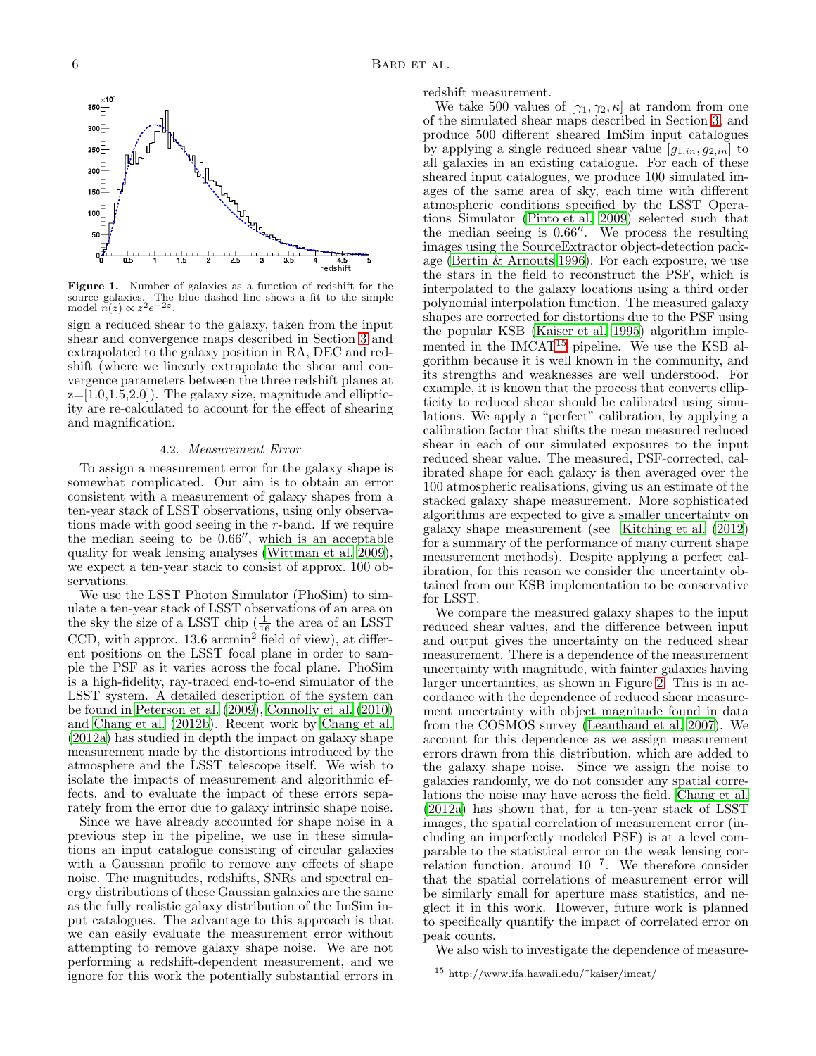

<span id="page-5-0"></span>Figure 1. Number of galaxies as a function of redshift for the source galaxies. The blue dashed line shows a fit to the simple model  $n(z) \propto z^2 e^{-2z}$ .

sign a reduced shear to the galaxy, taken from the input shear and convergence maps described in Section [3](#page-3-0) and extrapolated to the galaxy position in RA, DEC and redshift (where we linearly extrapolate the shear and convergence parameters between the three redshift planes at  $z=[1.0,1.5,2.0]$ . The galaxy size, magnitude and ellipticity are re-calculated to account for the effect of shearing and magnification.

#### 4.2. Measurement Error

To assign a measurement error for the galaxy shape is somewhat complicated. Our aim is to obtain an error consistent with a measurement of galaxy shapes from a ten-year stack of LSST observations, using only observations made with good seeing in the r-band. If we require the median seeing to be 0.66′′, which is an acceptable quality for weak lensing analyses [\(Wittman et al. 2009\)](#page-13-5), we expect a ten-year stack to consist of approx. 100 observations.

We use the LSST Photon Simulator (PhoSim) to simulate a ten-year stack of LSST observations of an area on the sky the size of a LSST chip  $\left(\frac{1}{16}\right)$  the area of an LSST CCD, with approx.  $13.6 \text{ arcmin}^2$  field of view), at different positions on the LSST focal plane in order to sample the PSF as it varies across the focal plane. PhoSim is a high-fidelity, ray-traced end-to-end simulator of the LSST system. A detailed description of the system can be found in [Peterson et al. \(2009](#page-12-43)), [Connolly et al. \(2010](#page-12-24)) and [Chang et al. \(2012b](#page-12-44)). Recent work by [Chang et al.](#page-12-45) [\(2012a\)](#page-12-45) has studied in depth the impact on galaxy shape measurement made by the distortions introduced by the atmosphere and the LSST telescope itself. We wish to isolate the impacts of measurement and algorithmic effects, and to evaluate the impact of these errors separately from the error due to galaxy intrinsic shape noise.

Since we have already accounted for shape noise in a previous step in the pipeline, we use in these simulations an input catalogue consisting of circular galaxies with a Gaussian profile to remove any effects of shape noise. The magnitudes, redshifts, SNRs and spectral energy distributions of these Gaussian galaxies are the same as the fully realistic galaxy distribution of the ImSim input catalogues. The advantage to this approach is that we can easily evaluate the measurement error without attempting to remove galaxy shape noise. We are not performing a redshift-dependent measurement, and we ignore for this work the potentially substantial errors in

redshift measurement.

We take 500 values of  $[\gamma_1, \gamma_2, \kappa]$  at random from one of the simulated shear maps described in Section [3,](#page-3-0) and produce 500 different sheared ImSim input catalogues by applying a single reduced shear value  $[g_{1,in}, g_{2,in}]$  to all galaxies in an existing catalogue. For each of these sheared input catalogues, we produce 100 simulated images of the same area of sky, each time with different atmospheric conditions specified by the LSST Operations Simulator [\(Pinto et al. 2009\)](#page-12-46) selected such that the median seeing is 0.66′′. We process the resulting images using the SourceExtractor object-detection package [\(Bertin & Arnouts 1996\)](#page-12-47). For each exposure, we use the stars in the field to reconstruct the PSF, which is interpolated to the galaxy locations using a third order polynomial interpolation function. The measured galaxy shapes are corrected for distortions due to the PSF using the popular KSB [\(Kaiser et al. 1995\)](#page-12-48) algorithm implemented in the  $IMCAT^{15}$  $IMCAT^{15}$  $IMCAT^{15}$  pipeline. We use the KSB algorithm because it is well known in the community, and its strengths and weaknesses are well understood. For example, it is known that the process that converts ellipticity to reduced shear should be calibrated using simulations. We apply a "perfect" calibration, by applying a calibration factor that shifts the mean measured reduced shear in each of our simulated exposures to the input reduced shear value. The measured, PSF-corrected, calibrated shape for each galaxy is then averaged over the 100 atmospheric realisations, giving us an estimate of the stacked galaxy shape measurement. More sophisticated algorithms are expected to give a smaller uncertainty on galaxy shape measurement (see [Kitching et al. \(2012](#page-12-49)) for a summary of the performance of many current shape measurement methods). Despite applying a perfect calibration, for this reason we consider the uncertainty obtained from our KSB implementation to be conservative for LSST.

We compare the measured galaxy shapes to the input reduced shear values, and the difference between input and output gives the uncertainty on the reduced shear measurement. There is a dependence of the measurement uncertainty with magnitude, with fainter galaxies having larger uncertainties, as shown in Figure [2.](#page-6-1) This is in accordance with the dependence of reduced shear measurement uncertainty with object magnitude found in data from the COSMOS survey [\(Leauthaud et al. 2007\)](#page-12-42). We account for this dependence as we assign measurement errors drawn from this distribution, which are added to the galaxy shape noise. Since we assign the noise to galaxies randomly, we do not consider any spatial correlations the noise may have across the field. [Chang et al.](#page-12-45) [\(2012a\)](#page-12-45) has shown that, for a ten-year stack of LSST images, the spatial correlation of measurement error (including an imperfectly modeled PSF) is at a level comparable to the statistical error on the weak lensing correlation function, around  $10^{-7}$ . We therefore consider that the spatial correlations of measurement error will be similarly small for aperture mass statistics, and neglect it in this work. However, future work is planned to specifically quantify the impact of correlated error on peak counts.

We also wish to investigate the dependence of measure-

<span id="page-5-1"></span><sup>15</sup> http://www.ifa.hawaii.edu/˜kaiser/imcat/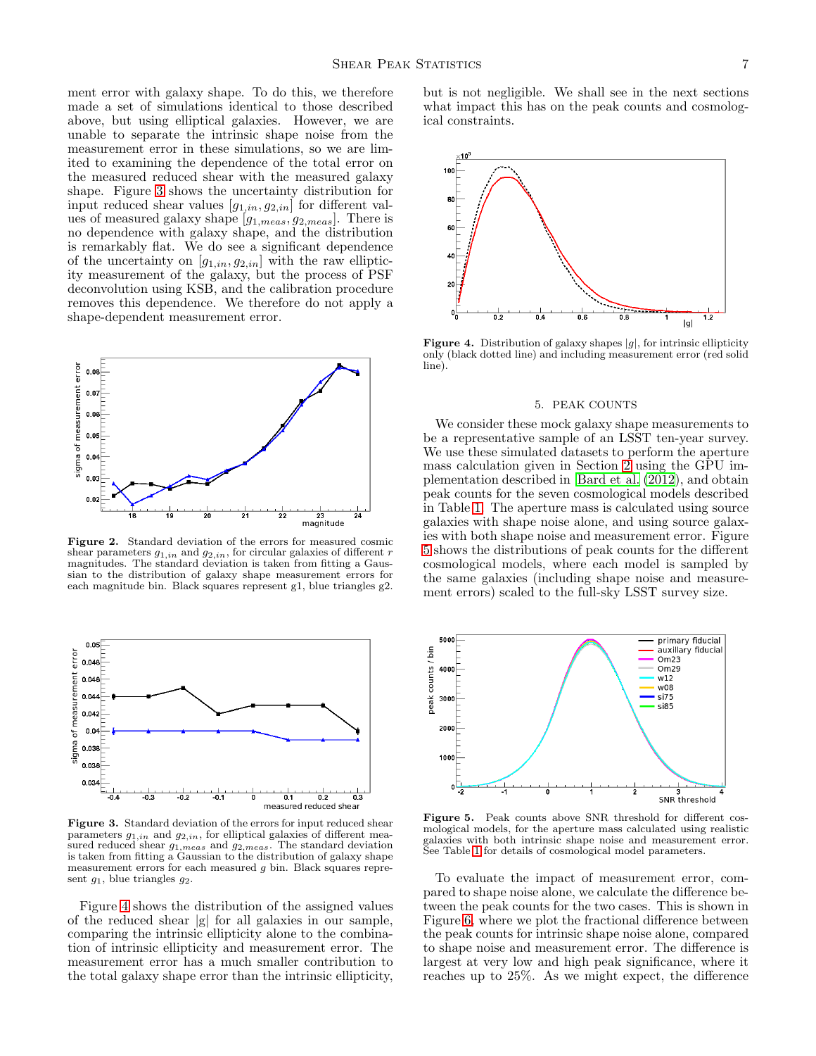ment error with galaxy shape. To do this, we therefore made a set of simulations identical to those described above, but using elliptical galaxies. However, we are unable to separate the intrinsic shape noise from the measurement error in these simulations, so we are limited to examining the dependence of the total error on the measured reduced shear with the measured galaxy shape. Figure [3](#page-6-2) shows the uncertainty distribution for input reduced shear values  $[g_{1,in}, g_{2,in}]$  for different values of measured galaxy shape  $[g_{1,meas}, g_{2,meas}]$ . There is no dependence with galaxy shape, and the distribution is remarkably flat. We do see a significant dependence of the uncertainty on  $[g_{1,in}, g_{2,in}]$  with the raw ellipticity measurement of the galaxy, but the process of PSF deconvolution using KSB, and the calibration procedure removes this dependence. We therefore do not apply a shape-dependent measurement error.



<span id="page-6-1"></span>Figure 2. Standard deviation of the errors for measured cosmic shear parameters  $g_{1,in}$  and  $g_{2,in}$ , for circular galaxies of different r magnitudes. The standard deviation is taken from fitting a Gaussian to the distribution of galaxy shape measurement errors for each magnitude bin. Black squares represent g1, blue triangles g2.



<span id="page-6-2"></span>Figure 3. Standard deviation of the errors for input reduced shear parameters  $g_{1,in}$  and  $g_{2,in}$ , for elliptical galaxies of different measured reduced shear  $g_{1,meas}$  and  $g_{2,meas}$ . The standard deviation is taken from fitting a Gaussian to the distribution of galaxy shape measurement errors for each measured g bin. Black squares represent  $g_1$ , blue triangles  $g_2$ .

Figure [4](#page-6-3) shows the distribution of the assigned values of the reduced shear |g| for all galaxies in our sample, comparing the intrinsic ellipticity alone to the combination of intrinsic ellipticity and measurement error. The measurement error has a much smaller contribution to the total galaxy shape error than the intrinsic ellipticity,

but is not negligible. We shall see in the next sections what impact this has on the peak counts and cosmological constraints.



<span id="page-6-3"></span>**Figure 4.** Distribution of galaxy shapes  $|g|$ , for intrinsic ellipticity only (black dotted line) and including measurement error (red solid line).

#### 5. PEAK COUNTS

<span id="page-6-0"></span>We consider these mock galaxy shape measurements to be a representative sample of an LSST ten-year survey. We use these simulated datasets to perform the aperture mass calculation given in Section [2](#page-2-0) using the GPU implementation described in [Bard et al. \(2012\)](#page-12-30), and obtain peak counts for the seven cosmological models described in Table [1.](#page-3-1) The aperture mass is calculated using source galaxies with shape noise alone, and using source galaxies with both shape noise and measurement error. Figure [5](#page-6-4) shows the distributions of peak counts for the different cosmological models, where each model is sampled by the same galaxies (including shape noise and measurement errors) scaled to the full-sky LSST survey size.



<span id="page-6-4"></span>Figure 5. Peak counts above SNR threshold for different cosmological models, for the aperture mass calculated using realistic galaxies with both intrinsic shape noise and measurement error. See Table [1](#page-3-1) for details of cosmological model parameters.

To evaluate the impact of measurement error, compared to shape noise alone, we calculate the difference between the peak counts for the two cases. This is shown in Figure [6,](#page-7-0) where we plot the fractional difference between the peak counts for intrinsic shape noise alone, compared to shape noise and measurement error. The difference is largest at very low and high peak significance, where it reaches up to 25%. As we might expect, the difference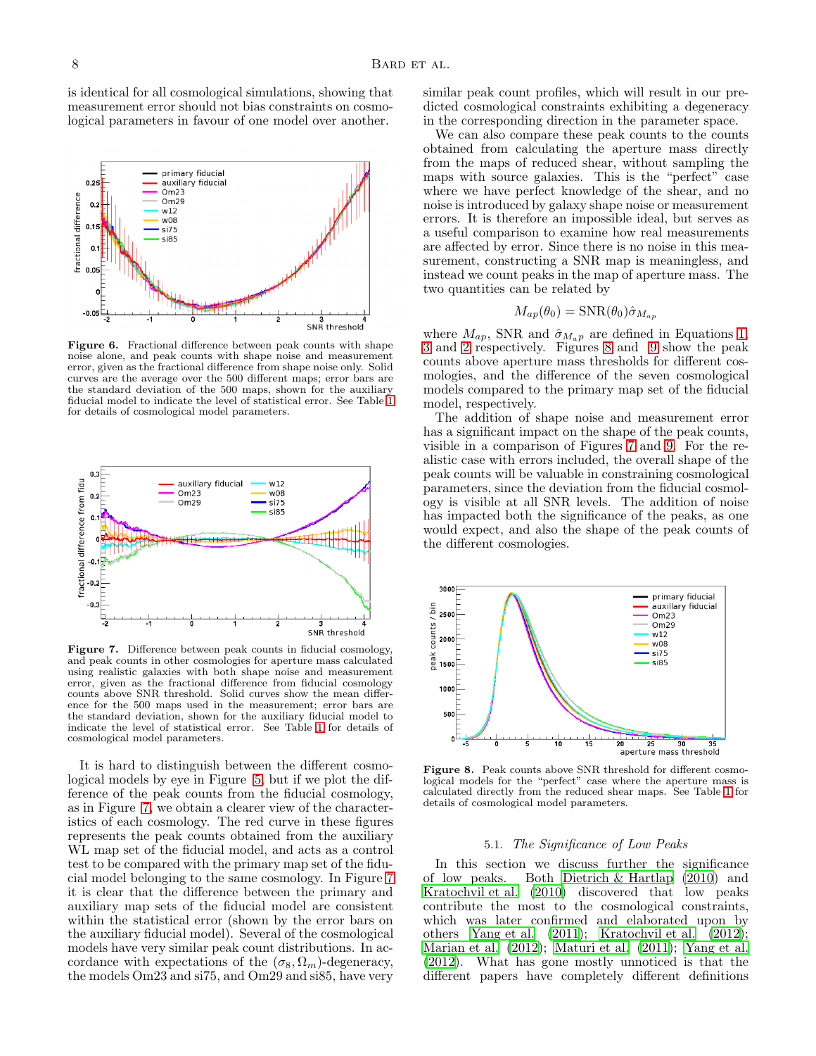is identical for all cosmological simulations, showing that measurement error should not bias constraints on cosmological parameters in favour of one model over another.



<span id="page-7-0"></span>Figure 6. Fractional difference between peak counts with shape noise alone, and peak counts with shape noise and measurement error, given as the fractional difference from shape noise only. Solid curves are the average over the 500 different maps; error bars are the standard deviation of the 500 maps, shown for the auxiliary fiducial model to indicate the level of statistical error. See Table [1](#page-3-1) for details of cosmological model parameters.



<span id="page-7-1"></span>Figure 7. Difference between peak counts in fiducial cosmology, and peak counts in other cosmologies for aperture mass calculated using realistic galaxies with both shape noise and measurement error, given as the fractional difference from fiducial cosmology counts above SNR threshold. Solid curves show the mean difference for the 500 maps used in the measurement; error bars are the standard deviation, shown for the auxiliary fiducial model to indicate the level of statistical error. See Table [1](#page-3-1) for details of cosmological model parameters.

It is hard to distinguish between the different cosmological models by eye in Figure [5,](#page-6-4) but if we plot the difference of the peak counts from the fiducial cosmology, as in Figure [7,](#page-7-1) we obtain a clearer view of the characteristics of each cosmology. The red curve in these figures represents the peak counts obtained from the auxiliary WL map set of the fiducial model, and acts as a control test to be compared with the primary map set of the fiducial model belonging to the same cosmology. In Figure [7](#page-7-1) it is clear that the difference between the primary and auxiliary map sets of the fiducial model are consistent within the statistical error (shown by the error bars on the auxiliary fiducial model). Several of the cosmological models have very similar peak count distributions. In accordance with expectations of the  $(\sigma_8, \Omega_m)$ -degeneracy, the models Om23 and si75, and Om29 and si85, have very

similar peak count profiles, which will result in our predicted cosmological constraints exhibiting a degeneracy in the corresponding direction in the parameter space.

We can also compare these peak counts to the counts obtained from calculating the aperture mass directly from the maps of reduced shear, without sampling the maps with source galaxies. This is the "perfect" case where we have perfect knowledge of the shear, and no noise is introduced by galaxy shape noise or measurement errors. It is therefore an impossible ideal, but serves as a useful comparison to examine how real measurements are affected by error. Since there is no noise in this measurement, constructing a SNR map is meaningless, and instead we count peaks in the map of aperture mass. The two quantities can be related by

$$
M_{ap}(\theta_0) = \text{SNR}(\theta_0) \hat{\sigma}_{M_{ap}}
$$

where  $M_{ap}$ , SNR and  $\hat{\sigma}_{M_{a}p}$  are defined in Equations [1,](#page-2-3) [3](#page-2-4) and [2](#page-2-5) respectively. Figures [8](#page-7-2) and [9](#page-8-1) show the peak counts above aperture mass thresholds for different cosmologies, and the difference of the seven cosmological models compared to the primary map set of the fiducial model, respectively.

The addition of shape noise and measurement error has a significant impact on the shape of the peak counts, visible in a comparison of Figures [7](#page-7-1) and [9.](#page-8-1) For the realistic case with errors included, the overall shape of the peak counts will be valuable in constraining cosmological parameters, since the deviation from the fiducial cosmology is visible at all SNR levels. The addition of noise has impacted both the significance of the peaks, as one would expect, and also the shape of the peak counts of the different cosmologies.



<span id="page-7-2"></span>Figure 8. Peak counts above SNR threshold for different cosmological models for the "perfect" case where the aperture mass is calculated directly from the reduced shear maps. See Table [1](#page-3-1) for details of cosmological model parameters.

## 5.1. The Significance of Low Peaks

In this section we discuss further the significance of low peaks. Both Dietrich  $\&$  Hartlap (2010) and Both Dietrich  $& Hartlap$  (2010) and [Kratochvil et al. \(2010\)](#page-12-17) discovered that low peaks contribute the most to the cosmological constraints, which was later confirmed and elaborated upon by others [Yang et al. \(2011\)](#page-13-1); [Kratochvil et al. \(2012](#page-12-12)); [Marian et al. \(2012](#page-12-19)); [Maturi et al. \(2011\)](#page-12-21); [Yang et al.](#page-13-3) [\(2012\)](#page-13-3). What has gone mostly unnoticed is that the different papers have completely different definitions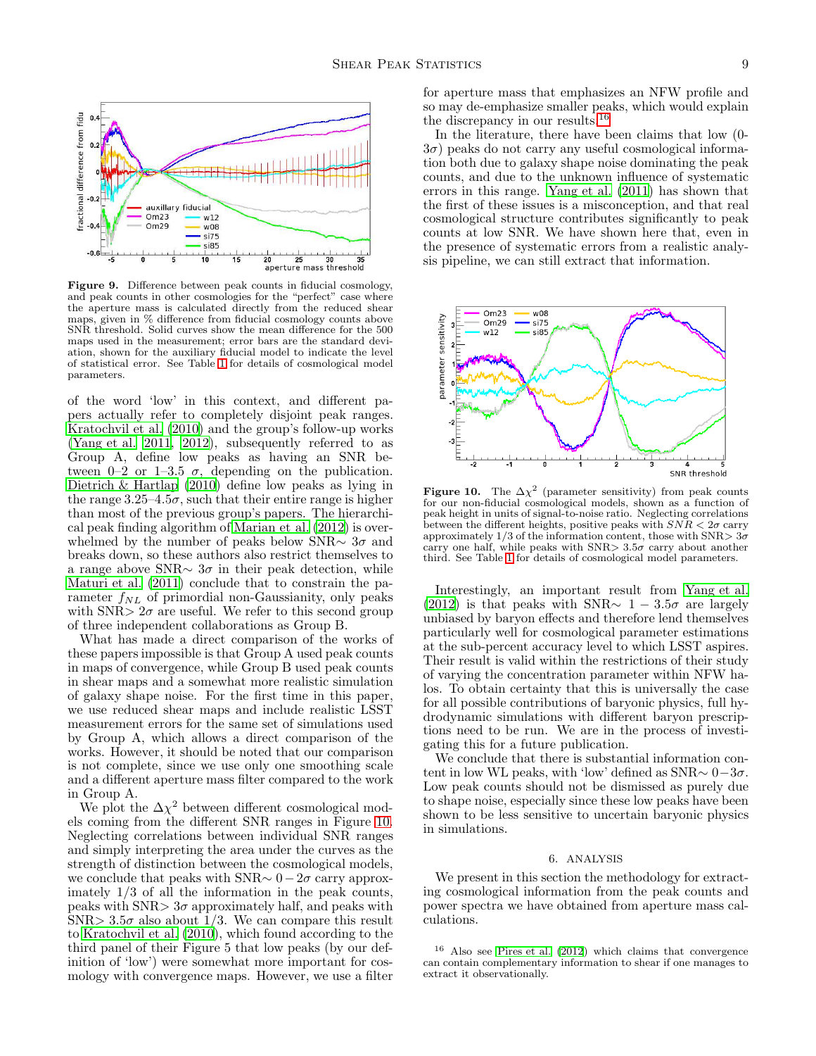

<span id="page-8-1"></span>Figure 9. Difference between peak counts in fiducial cosmology, and peak counts in other cosmologies for the "perfect" case where the aperture mass is calculated directly from the reduced shear maps, given in % difference from fiducial cosmology counts above SNR threshold. Solid curves show the mean difference for the 500 maps used in the measurement; error bars are the standard deviation, shown for the auxiliary fiducial model to indicate the level of statistical error. See Table [1](#page-3-1) for details of cosmological model parameters.

of the word 'low' in this context, and different papers actually refer to completely disjoint peak ranges. [Kratochvil et al. \(2010](#page-12-17)) and the group's follow-up works [\(Yang et al. 2011](#page-13-1), [2012\)](#page-13-3), subsequently referred to as Group A, define low peaks as having an SNR between 0–2 or 1–3.5  $\sigma$ , depending on the publication. [Dietrich & Hartlap \(2010\)](#page-12-16) define low peaks as lying in the range  $3.25-4.5\sigma$ , such that their entire range is higher than most of the previous group's papers. The hierarchical peak finding algorithm of [Marian et al. \(2012\)](#page-12-19) is overwhelmed by the number of peaks below SNR $\sim 3\sigma$  and breaks down, so these authors also restrict themselves to a range above SNR $\sim 3\sigma$  in their peak detection, while [Maturi et al. \(2011\)](#page-12-21) conclude that to constrain the parameter  $f_{NL}$  of primordial non-Gaussianity, only peaks with SNR $> 2\sigma$  are useful. We refer to this second group of three independent collaborations as Group B.

What has made a direct comparison of the works of these papers impossible is that Group A used peak counts in maps of convergence, while Group B used peak counts in shear maps and a somewhat more realistic simulation of galaxy shape noise. For the first time in this paper, we use reduced shear maps and include realistic LSST measurement errors for the same set of simulations used by Group A, which allows a direct comparison of the works. However, it should be noted that our comparison is not complete, since we use only one smoothing scale and a different aperture mass filter compared to the work in Group A.

We plot the  $\Delta \chi^2$  between different cosmological models coming from the different SNR ranges in Figure [10.](#page-8-2) Neglecting correlations between individual SNR ranges and simply interpreting the area under the curves as the strength of distinction between the cosmological models, we conclude that peaks with SNR $\sim 0-2\sigma$  carry approximately  $1/3$  of all the information in the peak counts, peaks with  $SNR > 3\sigma$  approximately half, and peaks with SNR>  $3.5\sigma$  also about 1/3. We can compare this result to [Kratochvil et al. \(2010\)](#page-12-17), which found according to the third panel of their Figure 5 that low peaks (by our definition of 'low') were somewhat more important for cosmology with convergence maps. However, we use a filter

for aperture mass that emphasizes an NFW profile and so may de-emphasize smaller peaks, which would explain the discrepancy in our results.[16](#page-8-3)

In the literature, there have been claims that low (0-  $3\sigma$ ) peaks do not carry any useful cosmological information both due to galaxy shape noise dominating the peak counts, and due to the unknown influence of systematic errors in this range. [Yang et al. \(2011\)](#page-13-1) has shown that the first of these issues is a misconception, and that real cosmological structure contributes significantly to peak counts at low SNR. We have shown here that, even in the presence of systematic errors from a realistic analysis pipeline, we can still extract that information.



<span id="page-8-2"></span>**Figure 10.** The  $\Delta \chi^2$  (parameter sensitivity) from peak counts for our non-fiducial cosmological models, shown as a function of peak height in units of signal-to-noise ratio. Neglecting correlations between the different heights, positive peaks with  $SNR < 2\sigma$  carry approximately  $1/3$  of the information content, those with SNR $> 3\sigma$ carry one half, while peaks with SNR $> 3.5\sigma$  carry about another third. See Table [1](#page-3-1) for details of cosmological model parameters.

Interestingly, an important result from [Yang et al.](#page-13-3) [\(2012\)](#page-13-3) is that peaks with SNR $\sim 1-3.5\sigma$  are largely unbiased by baryon effects and therefore lend themselves particularly well for cosmological parameter estimations at the sub-percent accuracy level to which LSST aspires. Their result is valid within the restrictions of their study of varying the concentration parameter within NFW halos. To obtain certainty that this is universally the case for all possible contributions of baryonic physics, full hydrodynamic simulations with different baryon prescriptions need to be run. We are in the process of investigating this for a future publication.

We conclude that there is substantial information content in low WL peaks, with 'low' defined as  $SNR \sim 0-3\sigma$ . Low peak counts should not be dismissed as purely due to shape noise, especially since these low peaks have been shown to be less sensitive to uncertain baryonic physics in simulations.

## 6. ANALYSIS

<span id="page-8-0"></span>We present in this section the methodology for extracting cosmological information from the peak counts and power spectra we have obtained from aperture mass calculations.

<span id="page-8-3"></span><sup>16</sup> Also see [Pires et al. \(2012\)](#page-12-22) which claims that convergence can contain complementary information to shear if one manages to extract it observationally.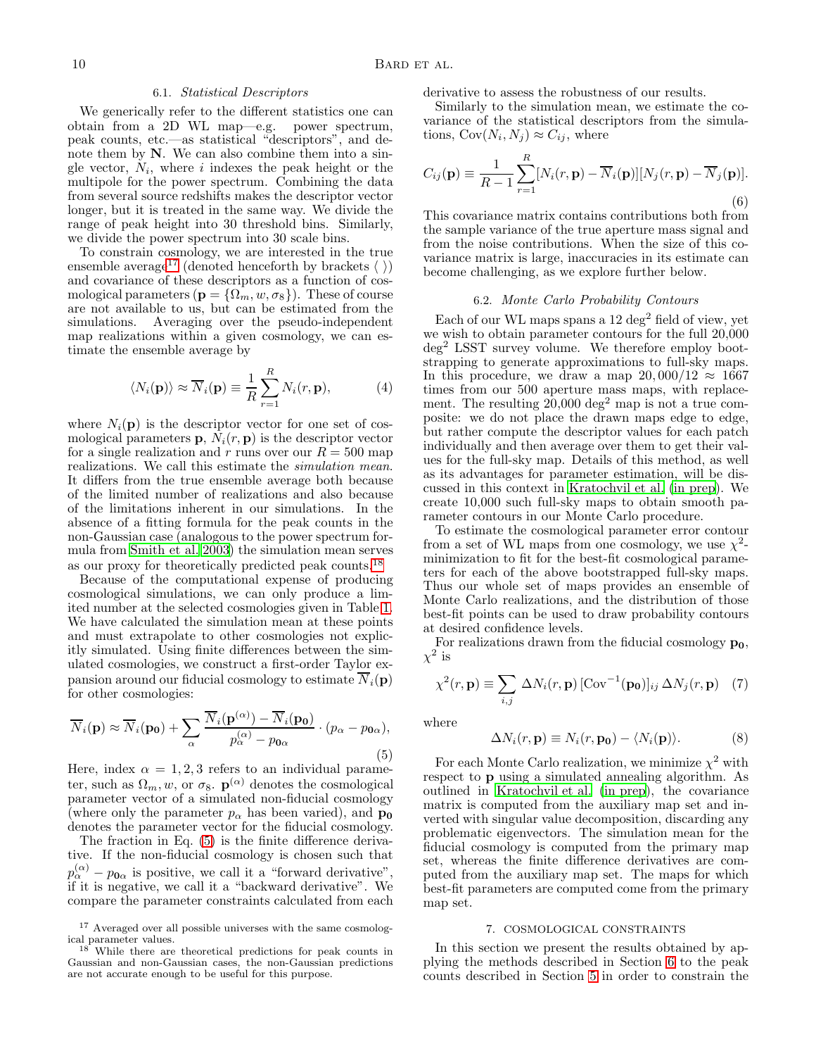#### 6.1. Statistical Descriptors

We generically refer to the different statistics one can obtain from a 2D WL map—e.g. power spectrum, peak counts, etc.—as statistical "descriptors", and denote them by N. We can also combine them into a single vector,  $N_i$ , where i indexes the peak height or the multipole for the power spectrum. Combining the data from several source redshifts makes the descriptor vector longer, but it is treated in the same way. We divide the range of peak height into 30 threshold bins. Similarly, we divide the power spectrum into 30 scale bins.

To constrain cosmology, we are interested in the true ensemble average<sup>[17](#page-9-1)</sup> (denoted henceforth by brackets  $\langle \rangle$ ) and covariance of these descriptors as a function of cosmological parameters ( $\mathbf{p} = {\Omega_m, w, \sigma_8}$ ). These of course are not available to us, but can be estimated from the simulations. Averaging over the pseudo-independent map realizations within a given cosmology, we can estimate the ensemble average by

$$
\langle N_i(\mathbf{p}) \rangle \approx \overline{N}_i(\mathbf{p}) \equiv \frac{1}{R} \sum_{r=1}^R N_i(r, \mathbf{p}), \tag{4}
$$

where  $N_i(\mathbf{p})$  is the descriptor vector for one set of cosmological parameters  $\mathbf{p}, N_i(r, \mathbf{p})$  is the descriptor vector for a single realization and r runs over our  $R = 500$  map realizations. We call this estimate the simulation mean. It differs from the true ensemble average both because of the limited number of realizations and also because of the limitations inherent in our simulations. In the absence of a fitting formula for the peak counts in the non-Gaussian case (analogous to the power spectrum formula from [Smith et al. 2003](#page-12-50)) the simulation mean serves as our proxy for theoretically predicted peak counts.[18](#page-9-2)

Because of the computational expense of producing cosmological simulations, we can only produce a limited number at the selected cosmologies given in Table [1.](#page-3-1) We have calculated the simulation mean at these points and must extrapolate to other cosmologies not explicitly simulated. Using finite differences between the simulated cosmologies, we construct a first-order Taylor expansion around our fiducial cosmology to estimate  $\overline{N}_i(\mathbf{p})$ for other cosmologies:

<span id="page-9-3"></span>
$$
\overline{N}_{i}(\mathbf{p}) \approx \overline{N}_{i}(\mathbf{p_{0}}) + \sum_{\alpha} \frac{\overline{N}_{i}(\mathbf{p}^{(\alpha)}) - \overline{N}_{i}(\mathbf{p_{0}})}{p_{\alpha}^{(\alpha)} - p_{0\alpha}} \cdot (p_{\alpha} - p_{0\alpha}),
$$
\n(5)

Here, index  $\alpha = 1, 2, 3$  refers to an individual parameter, such as  $\Omega_m, w$ , or  $\sigma_8$ .  $\mathbf{p}^{(\alpha)}$  denotes the cosmological parameter vector of a simulated non-fiducial cosmology (where only the parameter  $p_{\alpha}$  has been varied), and  $\mathbf{p}_{0}$ denotes the parameter vector for the fiducial cosmology.

The fraction in Eq. [\(5\)](#page-9-3) is the finite difference derivative. If the non-fiducial cosmology is chosen such that  $p_{\alpha}^{(\alpha)} - p_{\mathbf{0}\alpha}$  is positive, we call it a "forward derivative", if it is negative, we call it a "backward derivative". We compare the parameter constraints calculated from each derivative to assess the robustness of our results.

Similarly to the simulation mean, we estimate the covariance of the statistical descriptors from the simulations,  $Cov(N_i, N_j) \approx C_{ij}$ , where

$$
C_{ij}(\mathbf{p}) \equiv \frac{1}{R-1} \sum_{r=1}^{R} [N_i(r, \mathbf{p}) - \overline{N}_i(\mathbf{p})][N_j(r, \mathbf{p}) - \overline{N}_j(\mathbf{p})].
$$
\n(6)

This covariance matrix contains contributions both from the sample variance of the true aperture mass signal and from the noise contributions. When the size of this covariance matrix is large, inaccuracies in its estimate can become challenging, as we explore further below.

# 6.2. Monte Carlo Probability Contours

Each of our WL maps spans a 12 deg<sup>2</sup> field of view, yet we wish to obtain parameter contours for the full 20,000 deg<sup>2</sup> LSST survey volume. We therefore employ bootstrapping to generate approximations to full-sky maps. In this procedure, we draw a map  $20,000/12 \approx 1667$ times from our 500 aperture mass maps, with replacement. The resulting  $20,000 \text{ deg}^2$  map is not a true composite: we do not place the drawn maps edge to edge, but rather compute the descriptor values for each patch individually and then average over them to get their values for the full-sky map. Details of this method, as well as its advantages for parameter estimation, will be discussed in this context in [Kratochvil et al. \(in prep\)](#page-12-32). We create 10,000 such full-sky maps to obtain smooth parameter contours in our Monte Carlo procedure.

To estimate the cosmological parameter error contour from a set of WL maps from one cosmology, we use  $\chi^2$ minimization to fit for the best-fit cosmological parameters for each of the above bootstrapped full-sky maps. Thus our whole set of maps provides an ensemble of Monte Carlo realizations, and the distribution of those best-fit points can be used to draw probability contours at desired confidence levels.

For realizations drawn from the fiducial cosmology  $\mathbf{p_0}$ ,  $\chi^2$  is

$$
\chi^2(r, \mathbf{p}) \equiv \sum_{i,j} \Delta N_i(r, \mathbf{p}) \left[ \text{Cov}^{-1}(\mathbf{p_0}) \right]_{ij} \Delta N_j(r, \mathbf{p}) \quad (7)
$$

where

$$
\Delta N_i(r, \mathbf{p}) \equiv N_i(r, \mathbf{p_0}) - \langle N_i(\mathbf{p}) \rangle. \tag{8}
$$

For each Monte Carlo realization, we minimize  $\chi^2$  with respect to p using a simulated annealing algorithm. As outlined in [Kratochvil et al. \(in prep\)](#page-12-32), the covariance matrix is computed from the auxiliary map set and inverted with singular value decomposition, discarding any problematic eigenvectors. The simulation mean for the fiducial cosmology is computed from the primary map set, whereas the finite difference derivatives are computed from the auxiliary map set. The maps for which best-fit parameters are computed come from the primary map set.

#### 7. COSMOLOGICAL CONSTRAINTS

<span id="page-9-0"></span>In this section we present the results obtained by applying the methods described in Section [6](#page-8-0) to the peak counts described in Section [5](#page-6-0) in order to constrain the

 $^{17}$  Averaged over all possible universes with the same cosmological parameter values.

<span id="page-9-2"></span><span id="page-9-1"></span><sup>18</sup> While there are theoretical predictions for peak counts in Gaussian and non-Gaussian cases, the non-Gaussian predictions are not accurate enough to be useful for this purpose.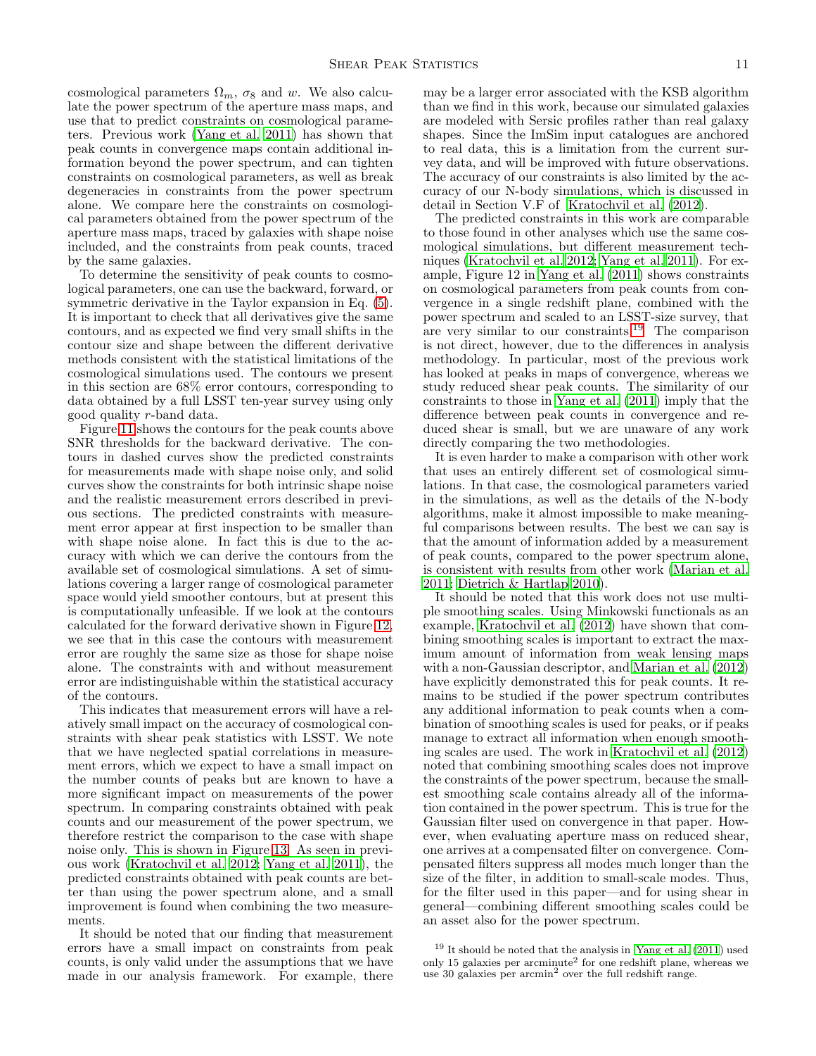cosmological parameters  $\Omega_m$ ,  $\sigma_8$  and w. We also calculate the power spectrum of the aperture mass maps, and use that to predict constraints on cosmological parameters. Previous work [\(Yang et al. 2011](#page-13-1)) has shown that peak counts in convergence maps contain additional information beyond the power spectrum, and can tighten constraints on cosmological parameters, as well as break degeneracies in constraints from the power spectrum alone. We compare here the constraints on cosmological parameters obtained from the power spectrum of the aperture mass maps, traced by galaxies with shape noise included, and the constraints from peak counts, traced by the same galaxies.

To determine the sensitivity of peak counts to cosmological parameters, one can use the backward, forward, or symmetric derivative in the Taylor expansion in Eq.  $(5)$ . It is important to check that all derivatives give the same contours, and as expected we find very small shifts in the contour size and shape between the different derivative methods consistent with the statistical limitations of the cosmological simulations used. The contours we present in this section are 68% error contours, corresponding to data obtained by a full LSST ten-year survey using only good quality r-band data.

Figure [11](#page-11-1) shows the contours for the peak counts above SNR thresholds for the backward derivative. The contours in dashed curves show the predicted constraints for measurements made with shape noise only, and solid curves show the constraints for both intrinsic shape noise and the realistic measurement errors described in previous sections. The predicted constraints with measurement error appear at first inspection to be smaller than with shape noise alone. In fact this is due to the accuracy with which we can derive the contours from the available set of cosmological simulations. A set of simulations covering a larger range of cosmological parameter space would yield smoother contours, but at present this is computationally unfeasible. If we look at the contours calculated for the forward derivative shown in Figure [12,](#page-11-2) we see that in this case the contours with measurement error are roughly the same size as those for shape noise alone. The constraints with and without measurement error are indistinguishable within the statistical accuracy of the contours.

This indicates that measurement errors will have a relatively small impact on the accuracy of cosmological constraints with shear peak statistics with LSST. We note that we have neglected spatial correlations in measurement errors, which we expect to have a small impact on the number counts of peaks but are known to have a more significant impact on measurements of the power spectrum. In comparing constraints obtained with peak counts and our measurement of the power spectrum, we therefore restrict the comparison to the case with shape noise only. This is shown in Figure [13.](#page-11-3) As seen in previous work [\(Kratochvil et al. 2012;](#page-12-12) [Yang et al. 2011\)](#page-13-1), the predicted constraints obtained with peak counts are better than using the power spectrum alone, and a small improvement is found when combining the two measurements.

It should be noted that our finding that measurement errors have a small impact on constraints from peak counts, is only valid under the assumptions that we have made in our analysis framework. For example, there may be a larger error associated with the KSB algorithm than we find in this work, because our simulated galaxies are modeled with Sersic profiles rather than real galaxy shapes. Since the ImSim input catalogues are anchored to real data, this is a limitation from the current survey data, and will be improved with future observations. The accuracy of our constraints is also limited by the accuracy of our N-body simulations, which is discussed in detail in Section V.F of [Kratochvil et al. \(2012\)](#page-12-12).

The predicted constraints in this work are comparable to those found in other analyses which use the same cosmological simulations, but different measurement techniques [\(Kratochvil et al. 2012;](#page-12-12) [Yang et al. 2011\)](#page-13-1). For example, Figure 12 in [Yang et al. \(2011\)](#page-13-1) shows constraints on cosmological parameters from peak counts from convergence in a single redshift plane, combined with the power spectrum and scaled to an LSST-size survey, that are very similar to our constraints.<sup>[19](#page-10-0)</sup> The comparison is not direct, however, due to the differences in analysis methodology. In particular, most of the previous work has looked at peaks in maps of convergence, whereas we study reduced shear peak counts. The similarity of our constraints to those in [Yang et al. \(2011\)](#page-13-1) imply that the difference between peak counts in convergence and reduced shear is small, but we are unaware of any work directly comparing the two methodologies.

It is even harder to make a comparison with other work that uses an entirely different set of cosmological simulations. In that case, the cosmological parameters varied in the simulations, as well as the details of the N-body algorithms, make it almost impossible to make meaningful comparisons between results. The best we can say is that the amount of information added by a measurement of peak counts, compared to the power spectrum alone, is consistent with results from other work [\(Marian et al.](#page-12-20) [2011;](#page-12-20) [Dietrich & Hartlap 2010\)](#page-12-16).

It should be noted that this work does not use multiple smoothing scales. Using Minkowski functionals as an example, [Kratochvil et al. \(2012\)](#page-12-12) have shown that combining smoothing scales is important to extract the maximum amount of information from weak lensing maps with a non-Gaussian descriptor, and [Marian et al. \(2012](#page-12-19)) have explicitly demonstrated this for peak counts. It remains to be studied if the power spectrum contributes any additional information to peak counts when a combination of smoothing scales is used for peaks, or if peaks manage to extract all information when enough smoothing scales are used. The work in [Kratochvil et al. \(2012](#page-12-12)) noted that combining smoothing scales does not improve the constraints of the power spectrum, because the smallest smoothing scale contains already all of the information contained in the power spectrum. This is true for the Gaussian filter used on convergence in that paper. However, when evaluating aperture mass on reduced shear, one arrives at a compensated filter on convergence. Compensated filters suppress all modes much longer than the size of the filter, in addition to small-scale modes. Thus, for the filter used in this paper—and for using shear in general—combining different smoothing scales could be an asset also for the power spectrum.

<span id="page-10-0"></span><sup>19</sup> It should be noted that the analysis in [Yang et al. \(2011](#page-13-1)) used only 15 galaxies per arcminute<sup>2</sup> for one redshift plane, whereas we use 30 galaxies per arcmin<sup>2</sup> over the full redshift range.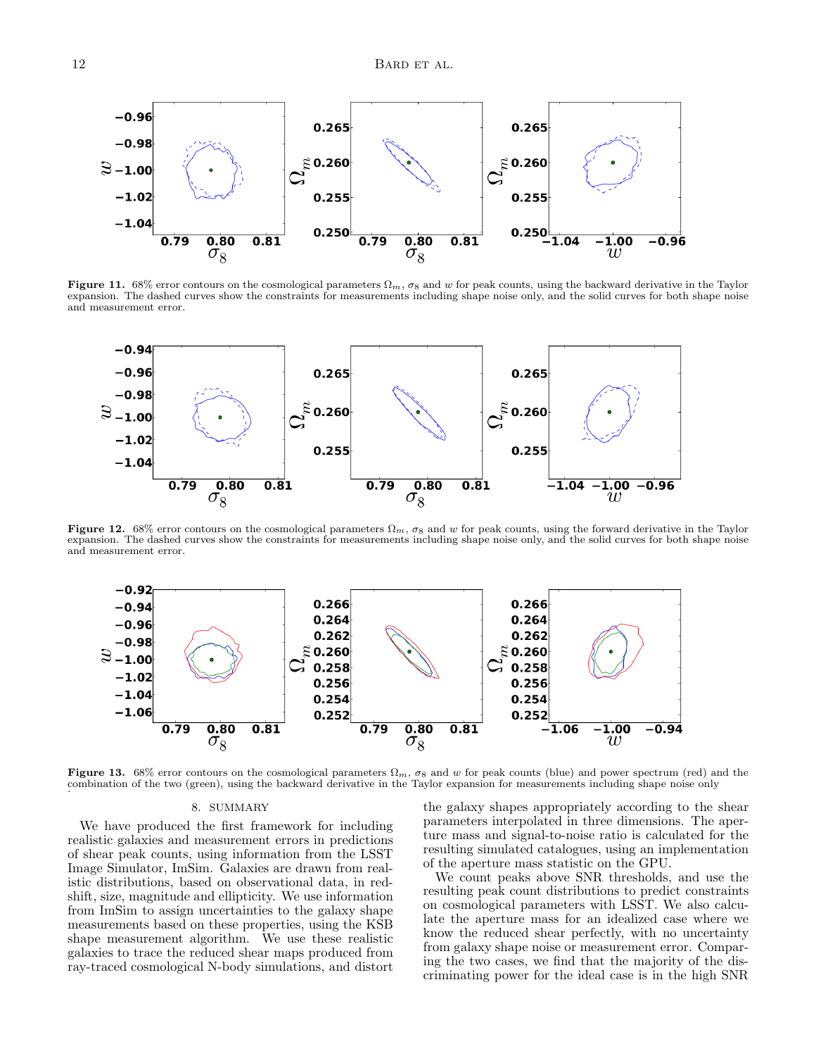

<span id="page-11-1"></span>Figure 11. 68% error contours on the cosmological parameters  $\Omega_m$ ,  $\sigma_8$  and w for peak counts, using the backward derivative in the Taylor expansion. The dashed curves show the constraints for measurements including shape noise only, and the solid curves for both shape noise and measurement error.



Figure 12. 68% error contours on the cosmological parameters  $\Omega_m$ ,  $\sigma_8$  and w for peak counts, using the forward derivative in the Taylor expansion. The dashed curves show the constraints for measurements including shape noise only, and the solid curves for both shape noise and measurement error.

<span id="page-11-2"></span>

<span id="page-11-0"></span>Figure 13. 68% error contours on the cosmological parameters  $\Omega_m$ ,  $\sigma_8$  and w for peak counts (blue) and power spectrum (red) and the combination of the two (green), using the backward derivative in the Taylor expansion for measurements including shape noise only .

## <span id="page-11-3"></span>8. SUMMARY

We have produced the first framework for including realistic galaxies and measurement errors in predictions of shear peak counts, using information from the LSST Image Simulator, ImSim. Galaxies are drawn from realistic distributions, based on observational data, in redshift, size, magnitude and ellipticity. We use information from ImSim to assign uncertainties to the galaxy shape measurements based on these properties, using the KSB shape measurement algorithm. We use these realistic galaxies to trace the reduced shear maps produced from ray-traced cosmological N-body simulations, and distort

the galaxy shapes appropriately according to the shear parameters interpolated in three dimensions. The aperture mass and signal-to-noise ratio is calculated for the resulting simulated catalogues, using an implementation of the aperture mass statistic on the GPU.

We count peaks above SNR thresholds, and use the resulting peak count distributions to predict constraints on cosmological parameters with LSST. We also calculate the aperture mass for an idealized case where we know the reduced shear perfectly, with no uncertainty from galaxy shape noise or measurement error. Comparing the two cases, we find that the majority of the discriminating power for the ideal case is in the high SNR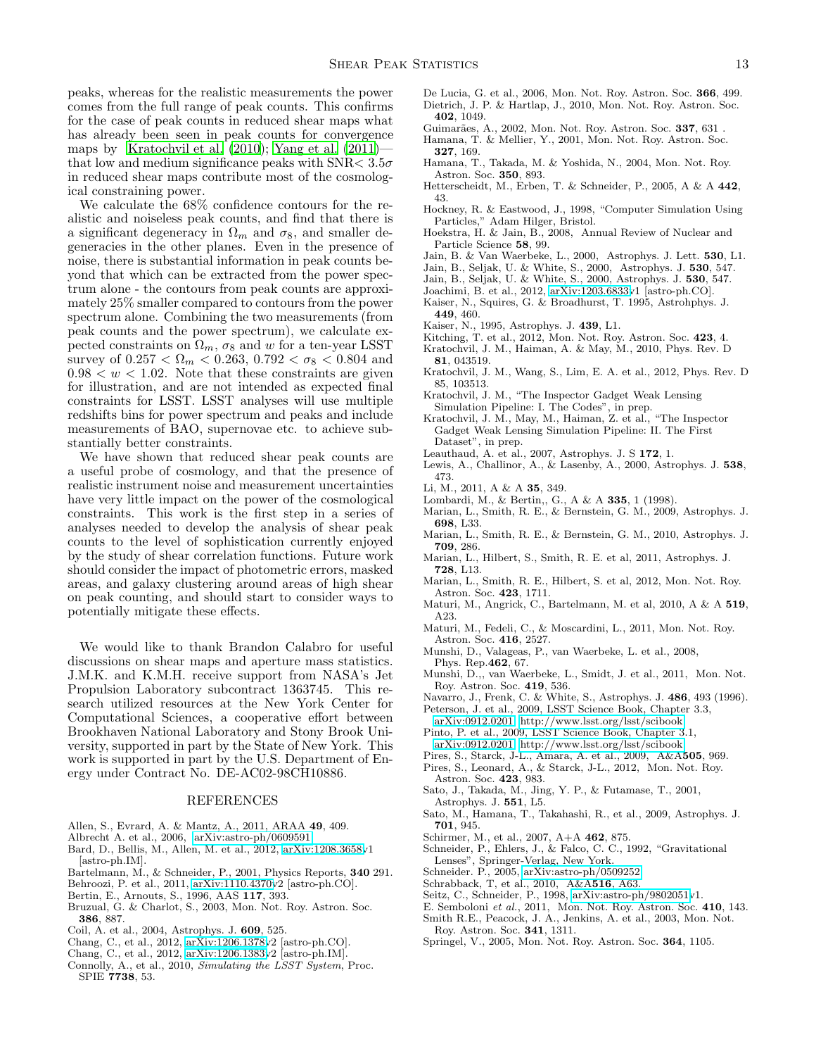peaks, whereas for the realistic measurements the power comes from the full range of peak counts. This confirms for the case of peak counts in reduced shear maps what has already been seen in peak counts for convergence maps by [Kratochvil et al. \(2010](#page-12-17)); [Yang et al. \(2011](#page-13-1)) that low and medium significance peaks with SNR  $< 3.5\sigma$ in reduced shear maps contribute most of the cosmological constraining power.

We calculate the 68% confidence contours for the realistic and noiseless peak counts, and find that there is a significant degeneracy in  $\Omega_m$  and  $\sigma_8$ , and smaller degeneracies in the other planes. Even in the presence of noise, there is substantial information in peak counts beyond that which can be extracted from the power spectrum alone - the contours from peak counts are approximately 25% smaller compared to contours from the power spectrum alone. Combining the two measurements (from peak counts and the power spectrum), we calculate expected constraints on  $\Omega_m$ ,  $\sigma_8$  and w for a ten-year LSST survey of  $0.257 < \Omega_m < 0.263$ ,  $0.792 < \sigma_8 < 0.804$  and  $0.98 < w < 1.02$ . Note that these constraints are given for illustration, and are not intended as expected final constraints for LSST. LSST analyses will use multiple redshifts bins for power spectrum and peaks and include measurements of BAO, supernovae etc. to achieve substantially better constraints.

We have shown that reduced shear peak counts are a useful probe of cosmology, and that the presence of realistic instrument noise and measurement uncertainties have very little impact on the power of the cosmological constraints. This work is the first step in a series of analyses needed to develop the analysis of shear peak counts to the level of sophistication currently enjoyed by the study of shear correlation functions. Future work should consider the impact of photometric errors, masked areas, and galaxy clustering around areas of high shear on peak counting, and should start to consider ways to potentially mitigate these effects.

We would like to thank Brandon Calabro for useful discussions on shear maps and aperture mass statistics. J.M.K. and K.M.H. receive support from NASA's Jet Propulsion Laboratory subcontract 1363745. This research utilized resources at the New York Center for Computational Sciences, a cooperative effort between Brookhaven National Laboratory and Stony Brook University, supported in part by the State of New York. This work is supported in part by the U.S. Department of Energy under Contract No. DE-AC02-98CH10886.

## REFERENCES

- <span id="page-12-5"></span>Allen, S., Evrard, A. & Mantz, A., 2011, ARAA 49, 409.
- <span id="page-12-0"></span>Albrecht A. et al., 2006, [arXiv:astro-ph/0609591.](http://arxiv.org/abs/astro-ph/0609591)
- <span id="page-12-30"></span>Bard, D., Bellis, M., Allen, M. et al., 2012, [arXiv:1208.3658v](http://arxiv.org/abs/1208.3658)1 [astro-ph.IM].
- <span id="page-12-25"></span>Bartelmann, M., & Schneider, P., 2001, Physics Reports, 340 291.
- <span id="page-12-39"></span>Behroozi, P. et al., 2011, [arXiv:1110.4370v](http://arxiv.org/abs/1110.4370)2 [astro-ph.CO].
- <span id="page-12-47"></span>Bertin, E., Arnouts, S., 1996, AAS 117, 393.
- Bruzual, G. & Charlot, S., 2003, Mon. Not. Roy. Astron. Soc. 386, 887.
- <span id="page-12-40"></span>Coil, A. et al., 2004, Astrophys. J. 609, 525.
- <span id="page-12-45"></span>Chang, C., et al., 2012, [arXiv:1206.1378v](http://arxiv.org/abs/1206.1378)2 [astro-ph.CO].
- <span id="page-12-44"></span>Chang, C., et al., 2012, [arXiv:1206.1383v](http://arxiv.org/abs/1206.1383)2 [astro-ph.IM].
- <span id="page-12-24"></span>Connolly, A., et al., 2010, Simulating the LSST System, Proc. SPIE 7738, 53.
- <span id="page-12-16"></span>De Lucia, G. et al., 2006, Mon. Not. Roy. Astron. Soc. 366, 499. Dietrich, J. P. & Hartlap, J., 2010, Mon. Not. Roy. Astron. Soc. 402, 1049.
- <span id="page-12-35"></span><span id="page-12-9"></span>Guimarães, A., 2002, Mon. Not. Roy. Astron. Soc. 337, 631. Hamana, T. & Mellier, Y., 2001, Mon. Not. Roy. Astron. Soc. 327, 169.
- <span id="page-12-6"></span>Hamana, T., Takada, M. & Yoshida, N., 2004, Mon. Not. Roy. Astron. Soc. 350, 893.
- <span id="page-12-29"></span>Hetterscheidt, M., Erben, T. & Schneider, P., 2005, A & A 442, 43.
- <span id="page-12-38"></span>Hockney, R. & Eastwood, J., 1998, "Computer Simulation Using Particles," Adam Hilger, Bristol.
- <span id="page-12-1"></span>Hoekstra, H. & Jain, B., 2008, Annual Review of Nuclear and Particle Science 58, 99.
- <span id="page-12-23"></span>Jain, B. & Van Waerbeke, L., 2000, Astrophys. J. Lett. 530, L1.
- <span id="page-12-7"></span>Jain, B., Seljak, U. & White, S., 2000, Astrophys. J. 530, 547.
- <span id="page-12-37"></span>Jain, B., Seljak, U. & White, S., 2000, Astrophys. J. 530, 547.
- <span id="page-12-41"></span>Joachimi, B. et al., 2012, [arXiv:1203.6833v](http://arxiv.org/abs/1203.6833)1 [astro-ph.CO]. Kaiser, N., Squires, G. & Broadhurst, T. 1995, Astrohphys. J.
- <span id="page-12-48"></span>449, 460.
- Kaiser, N., 1995, Astrophys. J. 439, L1.
- <span id="page-12-49"></span>Kitching, T. et al., 2012, Mon. Not. Roy. Astron. Soc. 423, 4.
- <span id="page-12-17"></span>Kratochvil, J. M., Haiman, A. & May, M., 2010, Phys. Rev. D 81, 043519.
- <span id="page-12-12"></span>Kratochvil, J. M., Wang, S., Lim, E. A. et al., 2012, Phys. Rev. D 85, 103513.
- <span id="page-12-31"></span>Kratochvil, J. M., "The Inspector Gadget Weak Lensing Simulation Pipeline: I. The Codes", in prep.
- <span id="page-12-32"></span>Kratochvil, J. M., May, M., Haiman, Z. et al., "The Inspector Gadget Weak Lensing Simulation Pipeline: II. The First Dataset", in prep.
- <span id="page-12-42"></span>Leauthaud, A. et al., 2007, Astrophys. J. S 172, 1.
- <span id="page-12-34"></span>Lewis, A., Challinor, A., & Lasenby, A., 2000, Astrophys. J. 538, 473.
- <span id="page-12-18"></span>Li, M., 2011, A & A 35, 349.
- Lombardi, M., & Bertin,, G., A & A 335, 1 (1998).
- <span id="page-12-14"></span>Marian, L., Smith, R. E., & Bernstein, G. M., 2009, Astrophys. J. 698, L33.
- <span id="page-12-15"></span>Marian, L., Smith, R. E., & Bernstein, G. M., 2010, Astrophys. J. 709, 286.
- <span id="page-12-20"></span>Marian, L., Hilbert, S., Smith, R. E. et al, 2011, Astrophys. J. 728, L13.
- <span id="page-12-19"></span>Marian, L., Smith, R. E., Hilbert, S. et al, 2012, Mon. Not. Roy. Astron. Soc. 423, 1711.
- <span id="page-12-10"></span>Maturi, M., Angrick, C., Bartelmann, M. et al, 2010, A & A 519, A23.
- <span id="page-12-21"></span>Maturi, M., Fedeli, C., & Moscardini, L., 2011, Mon. Not. Roy. Astron. Soc. 416, 2527.
- <span id="page-12-2"></span>Munshi, D., Valageas, P., van Waerbeke, L. et al., 2008, Phys. Rep.462, 67.
- <span id="page-12-11"></span>Munshi, D.,, van Waerbeke, L., Smidt, J. et al., 2011, Mon. Not. Roy. Astron. Soc. 419, 536.
- <span id="page-12-28"></span>Navarro, J., Frenk, C. & White, S., Astrophys. J. 486, 493 (1996).
- <span id="page-12-43"></span>Peterson, J. et al., 2009, LSST Science Book, Chapter 3.3, [arXiv:0912.0201,](http://arxiv.org/abs/0912.0201) [http://www.lsst.org/lsst/scibook.](http://www.lsst.org/lsst/scibook)
- <span id="page-12-46"></span>Pinto, P. et al., 2009, LSST Science Book, Chapter 3.1, [arXiv:0912.0201,](http://arxiv.org/abs/0912.0201) [http://www.lsst.org/lsst/scibook.](http://www.lsst.org/lsst/scibook)
- <span id="page-12-13"></span>Pires, S., Starck, J-L., Amara, A. et al., 2009, A&A505, 969.
- <span id="page-12-22"></span>Pires, S., Leonard, A., & Starck, J-L., 2012, Mon. Not. Roy. Astron. Soc. 423, 983.
- <span id="page-12-8"></span>Sato, J., Takada, M., Jing, Y. P., & Futamase, T., 2001, Astrophys. J. 551, L5.
- Sato, M., Hamana, T., Takahashi, R., et al., 2009, Astrophys. J. 701, 945.
- <span id="page-12-27"></span>Schirmer, M., et al., 2007, A+A 462, 875.
- <span id="page-12-36"></span>Schneider, P., Ehlers, J., & Falco, C. C., 1992, "Gravitational Lenses", Springer-Verlag, New York.
- <span id="page-12-26"></span>Schneider. P., 2005, [arXiv:astro-ph/0509252.](http://arxiv.org/abs/astro-ph/0509252)
- <span id="page-12-3"></span>Schrabback, T, et al., 2010, A&A516, A63.
- Seitz, C., Schneider, P., 1998, [arXiv:astro-ph/9802051v](http://arxiv.org/abs/astro-ph/9802051)1.
- <span id="page-12-4"></span>E. Semboloni et al., 2011, Mon. Not. Roy. Astron. Soc. 410, 143.
- <span id="page-12-50"></span>Smith R.E., Peacock, J. A., Jenkins, A. et al., 2003, Mon. Not. Roy. Astron. Soc. 341, 1311.
- <span id="page-12-33"></span>Springel, V., 2005, Mon. Not. Roy. Astron. Soc. 364, 1105.